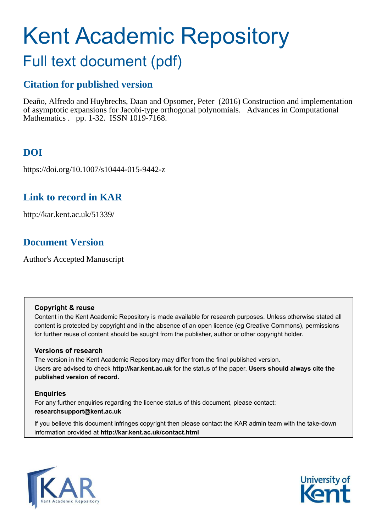# Kent Academic Repository

# Full text document (pdf)

# **Citation for published version**

Deaño, Alfredo and Huybrechs, Daan and Opsomer, Peter (2016) Construction and implementation of asymptotic expansions for Jacobi-type orthogonal polynomials. Advances in Computational Mathematics . pp. 1-32. ISSN 1019-7168.

# **DOI**

https://doi.org/10.1007/s10444-015-9442-z

# **Link to record in KAR**

http://kar.kent.ac.uk/51339/

# **Document Version**

Author's Accepted Manuscript

# **Copyright & reuse**

Content in the Kent Academic Repository is made available for research purposes. Unless otherwise stated all content is protected by copyright and in the absence of an open licence (eg Creative Commons), permissions for further reuse of content should be sought from the publisher, author or other copyright holder.

# **Versions of research**

The version in the Kent Academic Repository may differ from the final published version. Users are advised to check **http://kar.kent.ac.uk** for the status of the paper. **Users should always cite the published version of record.**

# **Enquiries**

For any further enquiries regarding the licence status of this document, please contact: **researchsupport@kent.ac.uk**

If you believe this document infringes copyright then please contact the KAR admin team with the take-down information provided at **http://kar.kent.ac.uk/contact.html**



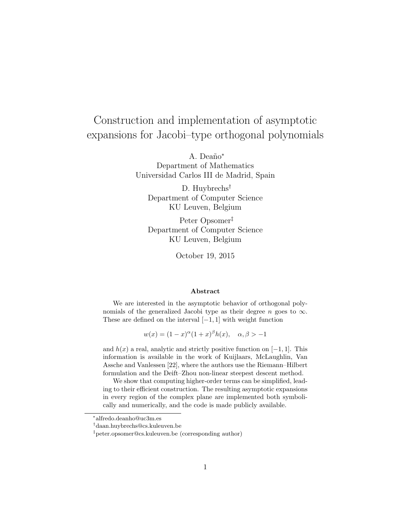# Construction and implementation of asymptotic expansions for Jacobi–type orthogonal polynomials

A. Deaño<sup>\*</sup> Department of Mathematics Universidad Carlos III de Madrid, Spain

D. Huybrechs<sup>†</sup> Department of Computer Science KU Leuven, Belgium

Peter Opsomer‡ Department of Computer Science KU Leuven, Belgium

October 19, 2015

#### Abstract

We are interested in the asymptotic behavior of orthogonal polynomials of the generalized Jacobi type as their degree n goes to  $\infty$ . These are defined on the interval  $[-1, 1]$  with weight function

 $w(x) = (1-x)^{\alpha}(1+x)^{\beta}h(x), \quad \alpha, \beta > -1$ 

and  $h(x)$  a real, analytic and strictly positive function on [−1, 1]. This information is available in the work of Kuijlaars, McLaughlin, Van Assche and Vanlessen [22], where the authors use the Riemann–Hilbert formulation and the Deift–Zhou non-linear steepest descent method.

We show that computing higher-order terms can be simplified, leading to their efficient construction. The resulting asymptotic expansions in every region of the complex plane are implemented both symbolically and numerically, and the code is made publicly available.

<sup>∗</sup> alfredo.deanho@uc3m.es

<sup>†</sup>daan.huybrechs@cs.kuleuven.be

<sup>‡</sup>peter.opsomer@cs.kuleuven.be (corresponding author)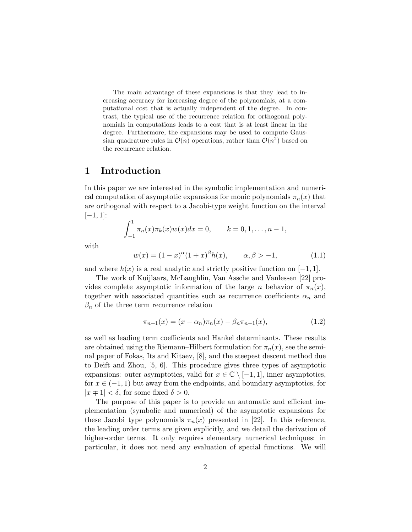The main advantage of these expansions is that they lead to increasing accuracy for increasing degree of the polynomials, at a computational cost that is actually independent of the degree. In contrast, the typical use of the recurrence relation for orthogonal polynomials in computations leads to a cost that is at least linear in the degree. Furthermore, the expansions may be used to compute Gaussian quadrature rules in  $\mathcal{O}(n)$  operations, rather than  $\mathcal{O}(n^2)$  based on the recurrence relation.

# 1 Introduction

In this paper we are interested in the symbolic implementation and numerical computation of asymptotic expansions for monic polynomials  $\pi_n(x)$  that are orthogonal with respect to a Jacobi-type weight function on the interval  $[-1, 1]$ :

$$
\int_{-1}^{1} \pi_n(x) \pi_k(x) w(x) dx = 0, \qquad k = 0, 1, \dots, n-1,
$$

with

$$
w(x) = (1 - x)^{\alpha} (1 + x)^{\beta} h(x), \qquad \alpha, \beta > -1,
$$
 (1.1)

and where  $h(x)$  is a real analytic and strictly positive function on  $[-1, 1]$ .

The work of Kuijlaars, McLaughlin, Van Assche and Vanlessen [22] provides complete asymptotic information of the large n behavior of  $\pi_n(x)$ , together with associated quantities such as recurrence coefficients  $\alpha_n$  and  $\beta_n$  of the three term recurrence relation

$$
\pi_{n+1}(x) = (x - \alpha_n)\pi_n(x) - \beta_n \pi_{n-1}(x), \tag{1.2}
$$

as well as leading term coefficients and Hankel determinants. These results are obtained using the Riemann–Hilbert formulation for  $\pi_n(x)$ , see the seminal paper of Fokas, Its and Kitaev, [8], and the steepest descent method due to Deift and Zhou, [5, 6]. This procedure gives three types of asymptotic expansions: outer asymptotics, valid for  $x \in \mathbb{C} \setminus [-1,1]$ , inner asymptotics, for  $x \in (-1, 1)$  but away from the endpoints, and boundary asymptotics, for  $|x \mp 1| < \delta$ , for some fixed  $\delta > 0$ .

The purpose of this paper is to provide an automatic and efficient implementation (symbolic and numerical) of the asymptotic expansions for these Jacobi–type polynomials  $\pi_n(x)$  presented in [22]. In this reference, the leading order terms are given explicitly, and we detail the derivation of higher-order terms. It only requires elementary numerical techniques: in particular, it does not need any evaluation of special functions. We will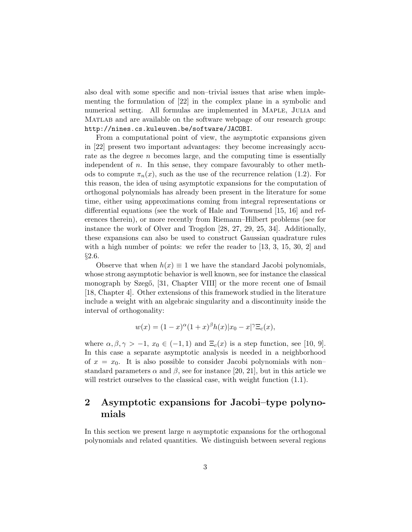also deal with some specific and non–trivial issues that arise when implementing the formulation of [22] in the complex plane in a symbolic and numerical setting. All formulas are implemented in MAPLE, JULIA and Matlab and are available on the software webpage of our research group: http://nines.cs.kuleuven.be/software/JACOBI.

From a computational point of view, the asymptotic expansions given in [22] present two important advantages: they become increasingly accurate as the degree  $n$  becomes large, and the computing time is essentially independent of  $n$ . In this sense, they compare favourably to other methods to compute  $\pi_n(x)$ , such as the use of the recurrence relation (1.2). For this reason, the idea of using asymptotic expansions for the computation of orthogonal polynomials has already been present in the literature for some time, either using approximations coming from integral representations or differential equations (see the work of Hale and Townsend [15, 16] and references therein), or more recently from Riemann–Hilbert problems (see for instance the work of Olver and Trogdon [28, 27, 29, 25, 34]. Additionally, these expansions can also be used to construct Gaussian quadrature rules with a high number of points: we refer the reader to [13, 3, 15, 30, 2] and §2.6.

Observe that when  $h(x) \equiv 1$  we have the standard Jacobi polynomials, whose strong asymptotic behavior is well known, see for instance the classical monograph by Szegő, [31, Chapter VIII] or the more recent one of Ismail [18, Chapter 4]. Other extensions of this framework studied in the literature include a weight with an algebraic singularity and a discontinuity inside the interval of orthogonality:

$$
w(x) = (1-x)^{\alpha}(1+x)^{\beta}h(x)|x_0 - x|^{\gamma}E_c(x),
$$

where  $\alpha, \beta, \gamma > -1$ ,  $x_0 \in (-1, 1)$  and  $\Xi_c(x)$  is a step function, see [10, 9]. In this case a separate asymptotic analysis is needed in a neighborhood of  $x = x_0$ . It is also possible to consider Jacobi polynomials with nonstandard parameters  $\alpha$  and  $\beta$ , see for instance [20, 21], but in this article we will restrict ourselves to the classical case, with weight function  $(1.1)$ .

# 2 Asymptotic expansions for Jacobi–type polynomials

In this section we present large  $n$  asymptotic expansions for the orthogonal polynomials and related quantities. We distinguish between several regions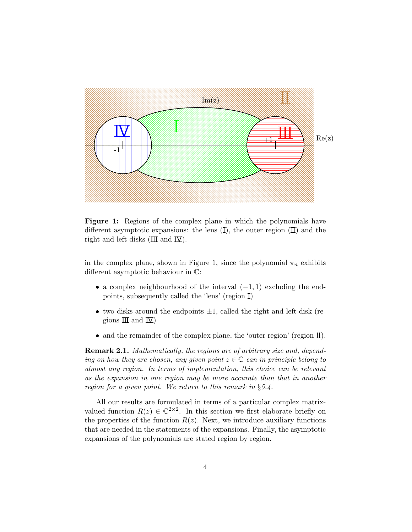

Figure 1: Regions of the complex plane in which the polynomials have different asymptotic expansions: the lens  $(I)$ , the outer region  $(II)$  and the right and left disks  $(\Pi \text{ and } \Pi)$ .

in the complex plane, shown in Figure 1, since the polynomial  $\pi_n$  exhibits different asymptotic behaviour in C:

- a complex neighbourhood of the interval  $(-1, 1)$  excluding the endpoints, subsequently called the 'lens' (region I)
- two disks around the endpoints  $\pm 1$ , called the right and left disk (regions  $\mathbb{II}$  and  $\mathbb{V}$ )
- and the remainder of the complex plane, the 'outer region' (region  $\mathbb{I}$ ).

Remark 2.1. Mathematically, the regions are of arbitrary size and, depending on how they are chosen, any given point  $z \in \mathbb{C}$  can in principle belong to almost any region. In terms of implementation, this choice can be relevant as the expansion in one region may be more accurate than that in another region for a given point. We return to this remark in §5.4.

All our results are formulated in terms of a particular complex matrixvalued function  $R(z) \in \mathbb{C}^{2 \times 2}$ . In this section we first elaborate briefly on the properties of the function  $R(z)$ . Next, we introduce auxiliary functions that are needed in the statements of the expansions. Finally, the asymptotic expansions of the polynomials are stated region by region.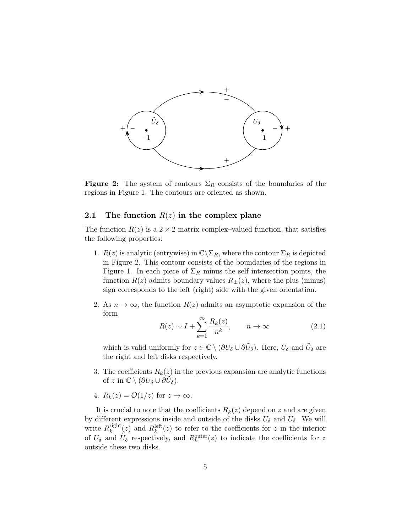

**Figure 2:** The system of contours  $\Sigma_R$  consists of the boundaries of the regions in Figure 1. The contours are oriented as shown.

## 2.1 The function  $R(z)$  in the complex plane

The function  $R(z)$  is a  $2 \times 2$  matrix complex–valued function, that satisfies the following properties:

- 1.  $R(z)$  is analytic (entrywise) in  $\mathbb{C}\backslash \Sigma_R$ , where the contour  $\Sigma_R$  is depicted in Figure 2. This contour consists of the boundaries of the regions in Figure 1. In each piece of  $\Sigma_R$  minus the self intersection points, the function  $R(z)$  admits boundary values  $R_{\pm}(z)$ , where the plus (minus) sign corresponds to the left (right) side with the given orientation.
- 2. As  $n \to \infty$ , the function  $R(z)$  admits an asymptotic expansion of the form

$$
R(z) \sim I + \sum_{k=1}^{\infty} \frac{R_k(z)}{n^k}, \qquad n \to \infty
$$
 (2.1)

which is valid uniformly for  $z \in \mathbb{C} \setminus (\partial U_{\delta} \cup \partial \tilde{U}_{\delta})$ . Here,  $U_{\delta}$  and  $\tilde{U}_{\delta}$  are the right and left disks respectively.

- 3. The coefficients  $R_k(z)$  in the previous expansion are analytic functions of z in  $\mathbb{C} \setminus (\partial U_{\delta} \cup \partial \tilde{U}_{\delta}).$
- 4.  $R_k(z) = \mathcal{O}(1/z)$  for  $z \to \infty$ .

It is crucial to note that the coefficients  $R_k(z)$  depend on z and are given by different expressions inside and outside of the disks  $U_{\delta}$  and  $\tilde{U}_{\delta}$ . We will write  $R_k^{\text{right}}$  $\frac{\text{right}}{k}(z)$  and  $R_k^{\text{left}}(z)$  to refer to the coefficients for z in the interior of  $U_{\delta}$  and  $\tilde{U}_{\delta}$  respectively, and  $R_k^{\text{outer}}(z)$  to indicate the coefficients for z outside these two disks.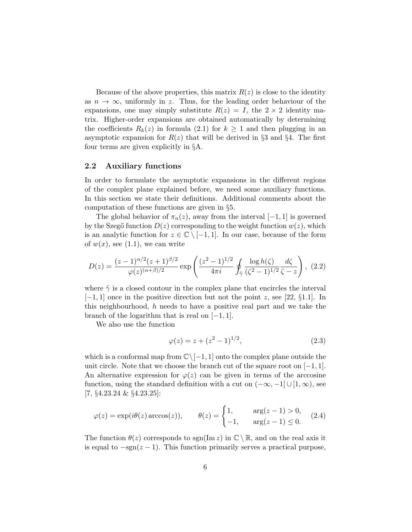Because of the above properties, this matrix  $R(z)$  is close to the identity as  $n \to \infty$ , uniformly in z. Thus, for the leading order behaviour of the expansions, one may simply substitute  $R(z) = I$ , the  $2 \times 2$  identity matrix. Higher-order expansions are obtained automatically by determining the coefficients  $R_k(z)$  in formula (2.1) for  $k \geq 1$  and then plugging in an asymptotic expansion for  $R(z)$  that will be derived in §3 and §4. The first four terms are given explicitly in §A.

#### 2.2 Auxiliary functions

In order to formulate the asymptotic expansions in the different regions of the complex plane explained before, we need some auxiliary functions. In this section we state their definitions. Additional comments about the computation of these functions are given in §5.

The global behavior of  $\pi_n(z)$ , away from the interval  $[-1, 1]$  is governed by the Szegő function  $D(z)$  corresponding to the weight function  $w(z)$ , which is an analytic function for  $z \in \mathbb{C} \setminus [-1, 1]$ . In our case, because of the form of  $w(x)$ , see (1.1), we can write

$$
D(z) = \frac{(z-1)^{\alpha/2}(z+1)^{\beta/2}}{\varphi(z)^{(\alpha+\beta)/2}} \exp\left(\frac{(z^2-1)^{1/2}}{4\pi i} \oint_{\tilde{\gamma}} \frac{\log h(\zeta)}{(\zeta^2-1)^{1/2}} \frac{d\zeta}{\zeta - z}\right), (2.2)
$$

where  $\tilde{\gamma}$  is a closed contour in the complex plane that encircles the interval  $[-1, 1]$  once in the positive direction but not the point z, see [22, §1.1]. In this neighbourhood, h needs to have a positive real part and we take the branch of the logarithm that is real on  $[-1, 1]$ .

We also use the function

$$
\varphi(z) = z + (z^2 - 1)^{1/2},\tag{2.3}
$$

which is a conformal map from  $\mathbb{C}\setminus[-1,1]$  onto the complex plane outside the unit circle. Note that we choose the branch cut of the square root on  $[-1, 1]$ . An alternative expression for  $\varphi(z)$  can be given in terms of the arccosine function, using the standard definition with a cut on  $(-\infty, -1] \cup [1, \infty)$ , see [7, §4.23.24 & §4.23.25]:

$$
\varphi(z) = \exp(i\theta(z)\arccos(z)), \qquad \theta(z) = \begin{cases} 1, & \arg(z-1) > 0, \\ -1, & \arg(z-1) \le 0. \end{cases} \tag{2.4}
$$

The function  $\theta(z)$  corresponds to sgn(Im z) in  $\mathbb{C} \setminus \mathbb{R}$ , and on the real axis it is equal to  $-sgn(z-1)$ . This function primarily serves a practical purpose,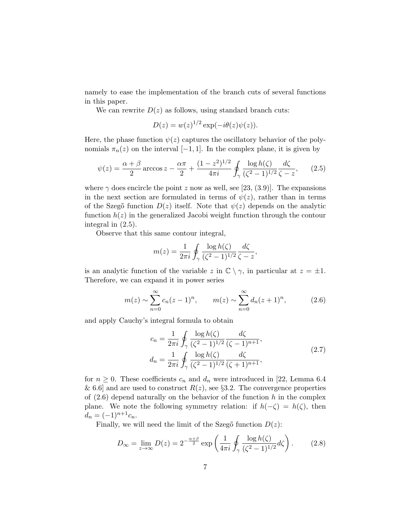namely to ease the implementation of the branch cuts of several functions in this paper.

We can rewrite  $D(z)$  as follows, using standard branch cuts:

$$
D(z) = w(z)^{1/2} \exp(-i\theta(z)\psi(z)).
$$

Here, the phase function  $\psi(z)$  captures the oscillatory behavior of the polynomials  $\pi_n(z)$  on the interval [−1, 1]. In the complex plane, it is given by

$$
\psi(z) = \frac{\alpha + \beta}{2}\arccos z - \frac{\alpha \pi}{2} + \frac{(1 - z^2)^{1/2}}{4\pi i} \oint_{\gamma} \frac{\log h(\zeta)}{(\zeta^2 - 1)^{1/2}} \frac{d\zeta}{\zeta - z},\qquad(2.5)
$$

where  $\gamma$  does encircle the point z now as well, see [23, (3.9)]. The expansions in the next section are formulated in terms of  $\psi(z)$ , rather than in terms of the Szegő function  $D(z)$  itself. Note that  $\psi(z)$  depends on the analytic function  $h(z)$  in the generalized Jacobi weight function through the contour integral in (2.5).

Observe that this same contour integral,

$$
m(z) = \frac{1}{2\pi i} \oint_{\gamma} \frac{\log h(\zeta)}{(\zeta^2 - 1)^{1/2}} \frac{d\zeta}{\zeta - z},
$$

is an analytic function of the variable z in  $\mathbb{C} \setminus \gamma$ , in particular at  $z = \pm 1$ . Therefore, we can expand it in power series

$$
m(z) \sim \sum_{n=0}^{\infty} c_n (z-1)^n, \qquad m(z) \sim \sum_{n=0}^{\infty} d_n (z+1)^n,
$$
 (2.6)

and apply Cauchy's integral formula to obtain

$$
c_n = \frac{1}{2\pi i} \oint_{\gamma} \frac{\log h(\zeta)}{(\zeta^2 - 1)^{1/2}} \frac{d\zeta}{(\zeta - 1)^{n+1}},
$$
  
\n
$$
d_n = \frac{1}{2\pi i} \oint_{\gamma} \frac{\log h(\zeta)}{(\zeta^2 - 1)^{1/2}} \frac{d\zeta}{(\zeta + 1)^{n+1}},
$$
\n(2.7)

for  $n \geq 0$ . These coefficients  $c_n$  and  $d_n$  were introduced in [22, Lemma 6.4 & 6.6] and are used to construct  $R(z)$ , see §3.2. The convergence properties of  $(2.6)$  depend naturally on the behavior of the function h in the complex plane. We note the following symmetry relation: if  $h(-\zeta) = h(\zeta)$ , then  $d_n = (-1)^{n+1}c_n.$ 

Finally, we will need the limit of the Szegő function  $D(z)$ :

$$
D_{\infty} = \lim_{z \to \infty} D(z) = 2^{-\frac{\alpha + \beta}{2}} \exp\left(\frac{1}{4\pi i} \oint_{\gamma} \frac{\log h(\zeta)}{(\zeta^2 - 1)^{1/2}} d\zeta\right). \tag{2.8}
$$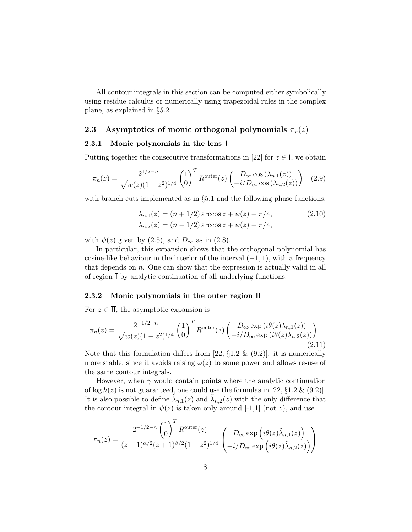All contour integrals in this section can be computed either symbolically using residue calculus or numerically using trapezoidal rules in the complex plane, as explained in §5.2.

## 2.3 Asymptotics of monic orthogonal polynomials  $\pi_n(z)$

## 2.3.1 Monic polynomials in the lens I

Putting together the consecutive transformations in [22] for  $z \in I$ , we obtain

$$
\pi_n(z) = \frac{2^{1/2 - n}}{\sqrt{w(z)}(1 - z^2)^{1/4}} \begin{pmatrix} 1 \\ 0 \end{pmatrix}^T R^{\text{outer}}(z) \begin{pmatrix} D_\infty \cos(\lambda_{n,1}(z)) \\ -i/D_\infty \cos(\lambda_{n,2}(z)) \end{pmatrix} (2.9)
$$

with branch cuts implemented as in  $\S 5.1$  and the following phase functions:

$$
\lambda_{n,1}(z) = (n+1/2) \arccos z + \psi(z) - \pi/4,
$$
  
\n
$$
\lambda_{n,2}(z) = (n-1/2) \arccos z + \psi(z) - \pi/4,
$$
\n(2.10)

with  $\psi(z)$  given by (2.5), and  $D_{\infty}$  as in (2.8).

In particular, this expansion shows that the orthogonal polynomial has cosine-like behaviour in the interior of the interval  $(-1, 1)$ , with a frequency that depends on  $n$ . One can show that the expression is actually valid in all of region I by analytic continuation of all underlying functions.

#### 2.3.2 Monic polynomials in the outer region  $\mathbb I$

For  $z \in \Pi$ , the asymptotic expansion is

$$
\pi_n(z) = \frac{2^{-1/2-n}}{\sqrt{w(z)}(1-z^2)^{1/4}} \begin{pmatrix} 1 \\ 0 \end{pmatrix}^T R^{\text{outer}}(z) \begin{pmatrix} D_{\infty} \exp(i\theta(z)\lambda_{n,1}(z)) \\ -i/D_{\infty} \exp(i\theta(z)\lambda_{n,2}(z)) \end{pmatrix} . \tag{2.11}
$$

Note that this formulation differs from [22,  $\S 1.2 \& (9.2)$ ]: it is numerically more stable, since it avoids raising  $\varphi(z)$  to some power and allows re-use of the same contour integrals.

However, when  $\gamma$  would contain points where the analytic continuation of  $\log h(z)$  is not guaranteed, one could use the formulas in [22, §1.2 & (9.2)]. It is also possible to define  $\tilde{\lambda}_{n,1}(z)$  and  $\tilde{\lambda}_{n,2}(z)$  with the only difference that the contour integral in  $\psi(z)$  is taken only around [-1,1] (not z), and use

$$
\pi_n(z) = \frac{2^{-1/2-n} \binom{1}{0}^T R^{\text{outer}}(z)}{(z-1)^{\alpha/2} (z+1)^{\beta/2} (1-z^2)^{1/4}} \left( \begin{array}{c} D_\infty \exp\left(i\theta(z)\tilde{\lambda}_{n,1}(z)\right) \\ -i/D_\infty \exp\left(i\theta(z)\tilde{\lambda}_{n,2}(z)\right) \end{array} \right)
$$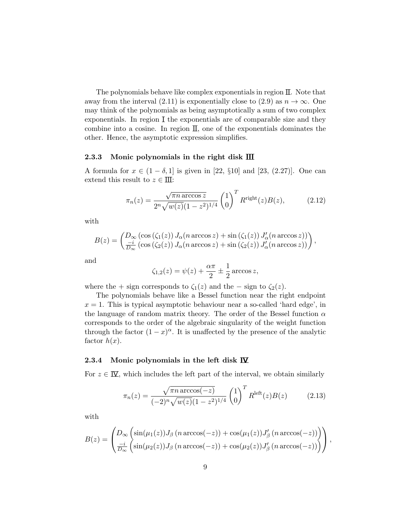The polynomials behave like complex exponentials in region II. Note that away from the interval (2.11) is exponentially close to (2.9) as  $n \to \infty$ . One may think of the polynomials as being asymptotically a sum of two complex exponentials. In region I the exponentials are of comparable size and they combine into a cosine. In region  $II$ , one of the exponentials dominates the other. Hence, the asymptotic expression simplifies.

#### 2.3.3 Monic polynomials in the right disk  $\overline{\text{III}}$

A formula for  $x \in (1 - \delta, 1]$  is given in [22, §10] and [23, (2.27)]. One can extend this result to  $z \in \Pi$ :

$$
\pi_n(z) = \frac{\sqrt{\pi n \arccos z}}{2^n \sqrt{w(z)} (1 - z^2)^{1/4}} \begin{pmatrix} 1 \\ 0 \end{pmatrix}^T R^{\text{right}}(z) B(z), \tag{2.12}
$$

with

$$
B(z) = \left(\frac{D_{\infty}(\cos(\zeta_1(z)) J_{\alpha}(n \arccos z) + \sin(\zeta_1(z)) J'_{\alpha}(n \arccos z))}{\frac{-i}{D_{\infty}}(\cos(\zeta_2(z)) J_{\alpha}(n \arccos z) + \sin(\zeta_2(z)) J'_{\alpha}(n \arccos z))}\right),\,
$$

and

$$
\zeta_{1,2}(z) = \psi(z) + \frac{\alpha \pi}{2} \pm \frac{1}{2} \arccos z,
$$

where the + sign corresponds to  $\zeta_1(z)$  and the – sign to  $\zeta_2(z)$ .

The polynomials behave like a Bessel function near the right endpoint  $x = 1$ . This is typical asymptotic behaviour near a so-called 'hard edge', in the language of random matrix theory. The order of the Bessel function  $\alpha$ corresponds to the order of the algebraic singularity of the weight function through the factor  $(1-x)^{\alpha}$ . It is unaffected by the presence of the analytic factor  $h(x)$ .

#### 2.3.4 Monic polynomials in the left disk  $\overline{\mathbf{W}}$

For  $z \in \overline{N}$ , which includes the left part of the interval, we obtain similarly

$$
\pi_n(z) = \frac{\sqrt{\pi n \arccos(-z)}}{(-2)^n \sqrt{w(z)} (1 - z^2)^{1/4}} \begin{pmatrix} 1 \\ 0 \end{pmatrix}^T R^{\text{left}}(z) B(z) \tag{2.13}
$$

with

$$
B(z) = \begin{pmatrix} D_{\infty} \left( \sin(\mu_1(z)) J_{\beta} \left( n \arccos(-z) \right) + \cos(\mu_1(z)) J'_{\beta} \left( n \arccos(-z) \right) \right) \\ \frac{-i}{D_{\infty}} \left( \sin(\mu_2(z)) J_{\beta} \left( n \arccos(-z) \right) + \cos(\mu_2(z)) J'_{\beta} \left( n \arccos(-z) \right) \right) \end{pmatrix},
$$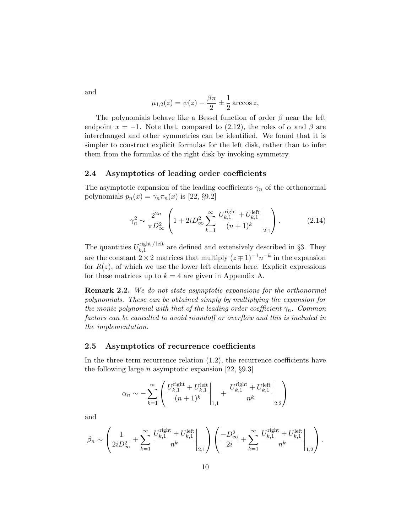and

$$
\mu_{1,2}(z) = \psi(z) - \frac{\beta \pi}{2} \pm \frac{1}{2} \arccos z,
$$

The polynomials behave like a Bessel function of order  $\beta$  near the left endpoint  $x = -1$ . Note that, compared to (2.12), the roles of  $\alpha$  and  $\beta$  are interchanged and other symmetries can be identified. We found that it is simpler to construct explicit formulas for the left disk, rather than to infer them from the formulas of the right disk by invoking symmetry.

## 2.4 Asymptotics of leading order coefficients

The asymptotic expansion of the leading coefficients  $\gamma_n$  of the orthonormal polynomials  $p_n(x) = \gamma_n \pi_n(x)$  is [22, §9.2]

$$
\gamma_n^2 \sim \frac{2^{2n}}{\pi D_\infty^2} \left( 1 + 2i D_\infty^2 \sum_{k=1}^\infty \frac{U_{k,1}^{\text{right}} + U_{k,1}^{\text{left}}}{(n+1)^k} \Bigg|_{2,1} \right). \tag{2.14}
$$

The quantities  $U_{k,1}^{\text{right/left}}$  $\lim_{k,1}$  are defined and extensively described in §3. They are the constant  $2 \times 2$  matrices that multiply  $(z \mp 1)^{-1} n^{-k}$  in the expansion for  $R(z)$ , of which we use the lower left elements here. Explicit expressions for these matrices up to  $k = 4$  are given in Appendix A.

Remark 2.2. We do not state asymptotic expansions for the orthonormal polynomials. These can be obtained simply by multiplying the expansion for the monic polynomial with that of the leading order coefficient  $\gamma_n$ . Common factors can be cancelled to avoid roundoff or overflow and this is included in the implementation.

### 2.5 Asymptotics of recurrence coefficients

In the three term recurrence relation (1.2), the recurrence coefficients have the following large  $n$  asymptotic expansion [22,  $\S 9.3$ ]

$$
\alpha_n \sim - \sum_{k=1}^{\infty} \left( \frac{U^{\text{right}}_{k,1} + U^{\text{left}}_{k,1}}{(n+1)^k} \Bigg|_{1,1} + \frac{U^{\text{right}}_{k,1} + U^{\text{left}}_{k,1}}{n^k} \Bigg|_{2,2} \right)
$$

and

$$
\beta_n \sim \left(\frac{1}{2iD_{\infty}^2} + \sum_{k=1}^{\infty} \frac{U_{k,1}^{\text{right}} + U_{k,1}^{\text{left}}}{n^k}\Bigg|_{2,1}\right) \left(\frac{-D_{\infty}^2}{2i} + \sum_{k=1}^{\infty} \frac{U_{k,1}^{\text{right}} + U_{k,1}^{\text{left}}}{n^k}\Bigg|_{1,2}\right).
$$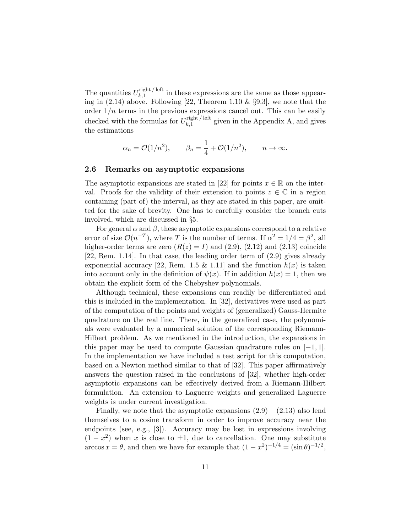The quantities  $U_{k,1}^{\text{right/left}}$  $\lim_{k,1}$  in these expressions are the same as those appearing in  $(2.14)$  above. Following [22, Theorem 1.10 & §9.3], we note that the order  $1/n$  terms in the previous expressions cancel out. This can be easily checked with the formulas for  $U_{k,1}^{\text{right/ left}}$  $\lim_{k,1}$  end given in the Appendix A, and gives the estimations

$$
\alpha_n = \mathcal{O}(1/n^2), \qquad \beta_n = \frac{1}{4} + \mathcal{O}(1/n^2), \qquad n \to \infty.
$$

## 2.6 Remarks on asymptotic expansions

The asymptotic expansions are stated in [22] for points  $x \in \mathbb{R}$  on the interval. Proofs for the validity of their extension to points  $z \in \mathbb{C}$  in a region containing (part of) the interval, as they are stated in this paper, are omitted for the sake of brevity. One has to carefully consider the branch cuts involved, which are discussed in §5.

For general  $\alpha$  and  $\beta$ , these asymptotic expansions correspond to a relative error of size  $\mathcal{O}(n^{-T})$ , where T is the number of terms. If  $\alpha^2 = 1/4 = \beta^2$ , all higher-order terms are zero  $(R(z) = I)$  and  $(2.9)$ ,  $(2.12)$  and  $(2.13)$  coincide [22, Rem. 1.14]. In that case, the leading order term of (2.9) gives already exponential accuracy [22, Rem. 1.5 & 1.11] and the function  $h(x)$  is taken into account only in the definition of  $\psi(x)$ . If in addition  $h(x) = 1$ , then we obtain the explicit form of the Chebyshev polynomials.

Although technical, these expansions can readily be differentiated and this is included in the implementation. In [32], derivatives were used as part of the computation of the points and weights of (generalized) Gauss-Hermite quadrature on the real line. There, in the generalized case, the polynomials were evaluated by a numerical solution of the corresponding Riemann-Hilbert problem. As we mentioned in the introduction, the expansions in this paper may be used to compute Gaussian quadrature rules on  $[-1, 1]$ . In the implementation we have included a test script for this computation, based on a Newton method similar to that of [32]. This paper affirmatively answers the question raised in the conclusions of [32], whether high-order asymptotic expansions can be effectively derived from a Riemann-Hilbert formulation. An extension to Laguerre weights and generalized Laguerre weights is under current investigation.

Finally, we note that the asymptotic expansions  $(2.9) - (2.13)$  also lend themselves to a cosine transform in order to improve accuracy near the endpoints (see, e.g., [3]). Accuracy may be lost in expressions involving  $(1-x^2)$  when x is close to  $\pm 1$ , due to cancellation. One may substitute  $\arccos x = \theta$ , and then we have for example that  $(1 - x^2)^{-1/4} = (\sin \theta)^{-1/2}$ ,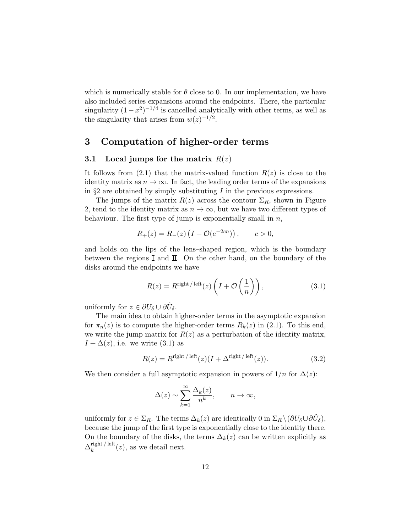which is numerically stable for  $\theta$  close to 0. In our implementation, we have also included series expansions around the endpoints. There, the particular singularity  $(1-x^2)^{-1/4}$  is cancelled analytically with other terms, as well as the singularity that arises from  $w(z)^{-1/2}$ .

# 3 Computation of higher-order terms

## 3.1 Local jumps for the matrix  $R(z)$

It follows from  $(2.1)$  that the matrix-valued function  $R(z)$  is close to the identity matrix as  $n \to \infty$ . In fact, the leading order terms of the expansions in  $\S 2$  are obtained by simply substituting I in the previous expressions.

The jumps of the matrix  $R(z)$  across the contour  $\Sigma_R$ , shown in Figure 2, tend to the identity matrix as  $n \to \infty$ , but we have two different types of behaviour. The first type of jump is exponentially small in  $n$ ,

$$
R_{+}(z) = R_{-}(z) \left( I + \mathcal{O}(e^{-2cn}) \right), \qquad c > 0,
$$

and holds on the lips of the lens–shaped region, which is the boundary between the regions I and II. On the other hand, on the boundary of the disks around the endpoints we have

$$
R(z) = R^{\text{right/left}}(z) \left( I + \mathcal{O}\left(\frac{1}{n}\right) \right),\tag{3.1}
$$

uniformly for  $z \in \partial U_{\delta} \cup \partial \tilde{U}_{\delta}$ .

The main idea to obtain higher-order terms in the asymptotic expansion for  $\pi_n(z)$  is to compute the higher-order terms  $R_k(z)$  in (2.1). To this end, we write the jump matrix for  $R(z)$  as a perturbation of the identity matrix,  $I + \Delta(z)$ , i.e. we write (3.1) as

$$
R(z) = R^{\text{right}/\text{ left}}(z)(I + \Delta^{\text{right}/\text{ left}}(z)).
$$
\n(3.2)

We then consider a full asymptotic expansion in powers of  $1/n$  for  $\Delta(z)$ :

$$
\Delta(z) \sim \sum_{k=1}^{\infty} \frac{\Delta_k(z)}{n^k}, \qquad n \to \infty,
$$

uniformly for  $z \in \Sigma_R$ . The terms  $\Delta_k(z)$  are identically 0 in  $\Sigma_R \setminus (\partial U_\delta \cup \partial \tilde{U}_\delta)$ , because the jump of the first type is exponentially close to the identity there. On the boundary of the disks, the terms  $\Delta_k(z)$  can be written explicitly as  $\Delta_k^{\text{right/ left}}$  $\lim_{k}$  / left  $(z)$ , as we detail next.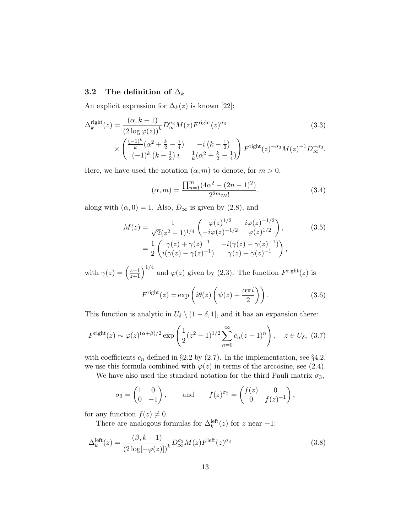## 3.2 The definition of  $\Delta_k$

An explicit expression for  $\Delta_k(z)$  is known [22]:

$$
\Delta_k^{\text{right}}(z) = \frac{(\alpha, k-1)}{(2 \log \varphi(z))^k} D_{\infty}^{\sigma_3} M(z) F^{\text{right}}(z)^{\sigma_3}
$$
(3.3)  

$$
\times \begin{pmatrix} \frac{(-1)^k}{k} (\alpha^2 + \frac{k}{2} - \frac{1}{4}) & -i (k - \frac{1}{2}) \\ (-1)^k (k - \frac{1}{2}) i & \frac{1}{k} (\alpha^2 + \frac{k}{2} - \frac{1}{4}) \end{pmatrix} F^{\text{right}}(z)^{-\sigma_3} M(z)^{-1} D_{\infty}^{-\sigma_3}.
$$

Here, we have used the notation  $(\alpha, m)$  to denote, for  $m > 0$ ,

$$
(\alpha, m) = \frac{\prod_{n=1}^{m} (4\alpha^2 - (2n - 1)^2)}{2^{2m} m!}.
$$
 (3.4)

along with  $(\alpha, 0) = 1$ . Also,  $D_{\infty}$  is given by (2.8), and

$$
M(z) = \frac{1}{\sqrt{2}(z^2 - 1)^{1/4}} \begin{pmatrix} \varphi(z)^{1/2} & i\varphi(z)^{-1/2} \\ -i\varphi(z)^{-1/2} & \varphi(z)^{1/2} \end{pmatrix},
$$
(3.5)  
= 
$$
\frac{1}{2} \begin{pmatrix} \gamma(z) + \gamma(z)^{-1} & -i(\gamma(z) - \gamma(z)^{-1}) \\ i(\gamma(z) - \gamma(z)^{-1}) & \gamma(z) + \gamma(z)^{-1} \end{pmatrix},
$$

with  $\gamma(z) = \left(\frac{z-1}{z+1}\right)^{1/4}$  and  $\varphi(z)$  given by (2.3). The function  $F^{\text{right}}(z)$  is

$$
F^{\text{right}}(z) = \exp\left(i\theta(z)\left(\psi(z) + \frac{\alpha\pi i}{2}\right)\right). \tag{3.6}
$$

This function is analytic in  $U_{\delta} \setminus (1 - \delta, 1]$ , and it has an expansion there:

$$
F^{\text{right}}(z) \sim \varphi(z)^{(\alpha+\beta)/2} \exp\left(\frac{1}{2}(z^2-1)^{1/2} \sum_{n=0}^{\infty} c_n (z-1)^n\right), \quad z \in U_{\delta}, \ (3.7)
$$

with coefficients  $c_n$  defined in §2.2 by (2.7). In the implementation, see §4.2, we use this formula combined with  $\varphi(z)$  in terms of the arccosine, see (2.4).

We have also used the standard notation for the third Pauli matrix  $\sigma_3$ ,

$$
\sigma_3 = \begin{pmatrix} 1 & 0 \\ 0 & -1 \end{pmatrix}, \quad \text{and} \quad f(z)^{\sigma_3} = \begin{pmatrix} f(z) & 0 \\ 0 & f(z)^{-1} \end{pmatrix},
$$

for any function  $f(z) \neq 0$ .

There are analogous formulas for  $\Delta_k^{\text{left}}(z)$  for z near -1:

$$
\Delta_k^{\text{left}}(z) = \frac{(\beta, k-1)}{(2\log[-\varphi(z)])^k} D_{\infty}^{\sigma_3} M(z) F^{\text{left}}(z)^{\sigma_3}
$$
\n(3.8)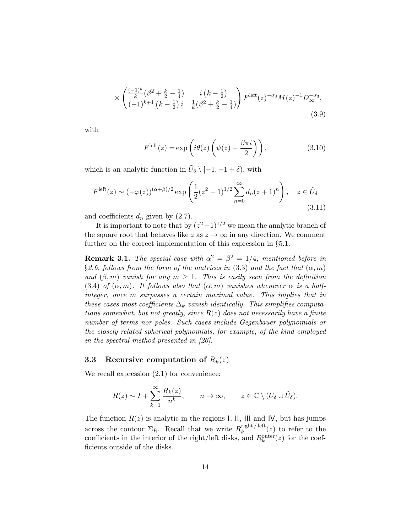$$
\times \begin{pmatrix} \frac{(-1)^k}{k} (\beta^2 + \frac{k}{2} - \frac{1}{4}) & i (k - \frac{1}{2}) \\ (-1)^{k+1} (k - \frac{1}{2}) i & \frac{1}{k} (\beta^2 + \frac{k}{2} - \frac{1}{4}) \end{pmatrix} F^{\text{left}}(z)^{-\sigma_3} M(z)^{-1} D_{\infty}^{-\sigma_3},
$$
\n(3.9)

with

$$
F^{\text{left}}(z) = \exp\left(i\theta(z)\left(\psi(z) - \frac{\beta\pi i}{2}\right)\right),\tag{3.10}
$$

which is an analytic function in  $\tilde{U}_{\delta} \setminus [-1, -1 + \delta)$ , with

$$
F^{\text{left}}(z) \sim (-\varphi(z))^{(\alpha+\beta)/2} \exp\left(\frac{1}{2}(z^2-1)^{1/2} \sum_{n=0}^{\infty} d_n (z+1)^n\right), \quad z \in \tilde{U}_{\delta}
$$
\n(3.11)

and coefficients  $d_n$  given by (2.7).

It is important to note that by  $(z^2-1)^{1/2}$  we mean the analytic branch of the square root that behaves like z as  $z \to \infty$  in any direction. We comment further on the correct implementation of this expression in §5.1.

**Remark 3.1.** The special case with  $\alpha^2 = \beta^2 = 1/4$ , mentioned before in §2.6, follows from the form of the matrices in (3.3) and the fact that  $(\alpha, m)$ and  $(\beta, m)$  vanish for any  $m \geq 1$ . This is easily seen from the definition (3.4) of  $(\alpha, m)$ . It follows also that  $(\alpha, m)$  vanishes whenever  $\alpha$  is a halfinteger, once m surpasses a certain maximal value. This implies that in these cases most coefficients  $\Delta_k$  vanish identically. This simplifies computations somewhat, but not greatly, since  $R(z)$  does not necessarily have a finite number of terms nor poles. Such cases include Gegenbauer polynomials or the closely related spherical polynomials, for example, of the kind employed in the spectral method presented in [26].

### 3.3 Recursive computation of  $R_k(z)$

We recall expression  $(2.1)$  for convenience:

$$
R(z) \sim I + \sum_{k=1}^{\infty} \frac{R_k(z)}{n^k}, \qquad n \to \infty, \qquad z \in \mathbb{C} \setminus (U_{\delta} \cup \tilde{U}_{\delta}).
$$

The function  $R(z)$  is analytic in the regions I, II, III and  $\overline{X}$ , but has jumps across the contour  $\Sigma_R$ . Recall that we write  $R_k^{\text{right/ left}}$  $\int_k^{\text{right}/\text{tert}}(z)$  to refer to the coefficients in the interior of the right/left disks, and  $R_k^{\text{outer}}(z)$  for the coefficients outside of the disks.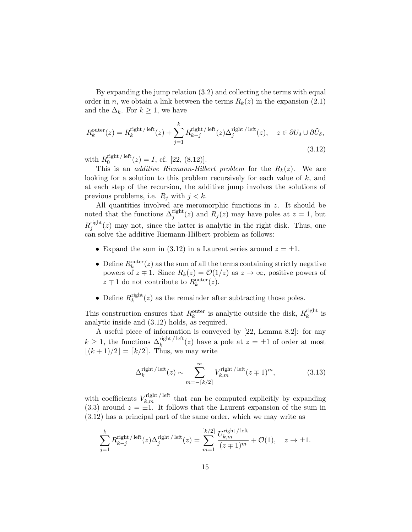By expanding the jump relation (3.2) and collecting the terms with equal order in n, we obtain a link between the terms  $R_k(z)$  in the expansion (2.1) and the  $\Delta_k$ . For  $k \geq 1$ , we have

$$
R_k^{\text{outer}}(z) = R_k^{\text{right/left}}(z) + \sum_{j=1}^k R_{k-j}^{\text{right/left}}(z) \Delta_j^{\text{right/left}}(z), \quad z \in \partial U_\delta \cup \partial \tilde{U}_\delta,
$$
\n(3.12)

with  $R_0^{\text{right}/\text{ left}}$  $0_0^{\text{right}/\text{net}}(z) = I, \text{ cf. } [22, (8.12)].$ 

This is an *additive Riemann-Hilbert problem* for the  $R_k(z)$ . We are looking for a solution to this problem recursively for each value of k, and at each step of the recursion, the additive jump involves the solutions of previous problems, i.e.  $R_j$  with  $j < k$ .

All quantities involved are meromorphic functions in z. It should be noted that the functions  $\Delta_j^{\text{right}}(z)$  and  $R_j(z)$  may have poles at  $z = 1$ , but  $R^{\rm right}_i$  $j_j^{\text{right}}(z)$  may not, since the latter is analytic in the right disk. Thus, one can solve the additive Riemann-Hilbert problem as follows:

- Expand the sum in (3.12) in a Laurent series around  $z = \pm 1$ .
- Define  $R_k^{\text{outer}}(z)$  as the sum of all the terms containing strictly negative powers of  $z \neq 1$ . Since  $R_k(z) = \mathcal{O}(1/z)$  as  $z \to \infty$ , positive powers of  $z \mp 1$  do not contribute to  $R_k^{\text{outer}}(z)$ .
- Define  $R_k^{\text{right}}$  $\lim_{k} (z)$  as the remainder after subtracting those poles.

This construction ensures that  $R_k^{\text{outer}}$  is analytic outside the disk,  $R_k^{\text{right}}$  $\frac{r}{k}$  is analytic inside and (3.12) holds, as required.

A useful piece of information is conveyed by [22, Lemma 8.2]: for any  $k \geq 1$ , the functions  $\Delta_k^{\text{right/ left}}(z)$  have a pole at  $z = \pm 1$  of order at most  $|(k+1)/2| = \lceil k/2 \rceil$ . Thus, we may write

$$
\Delta_k^{\text{right/ left}}(z) \sim \sum_{m=-\lceil k/2 \rceil}^{\infty} V_{k,m}^{\text{right/ left}}(z \mp 1)^m,\tag{3.13}
$$

with coefficients  $V_{k,m}^{\text{right/left}}$  that can be computed explicitly by expanding  $(3.3)$  around  $z = \pm 1$ . It follows that the Laurent expansion of the sum in (3.12) has a principal part of the same order, which we may write as

$$
\sum_{j=1}^k R_{k-j}^{\text{right/left}}(z) \Delta_j^{\text{right/left}}(z) = \sum_{m=1}^{\lceil k/2 \rceil} \frac{U_{k,m}^{\text{right/left}}}{(z+1)^m} + \mathcal{O}(1), \quad z \to \pm 1.
$$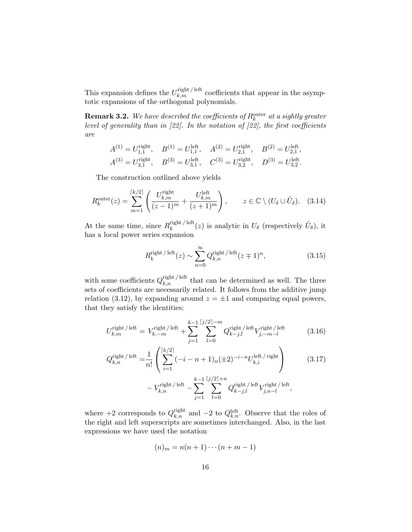This expansion defines the  $U_{k,m}^{\text{right/left}}$  coefficients that appear in the asymptotic expansions of the orthogonal polynomials.

**Remark 3.2.** We have described the coefficients of  $R_k^{\text{outer}}$  at a sightly greater level of generality than in [22]. In the notation of  $[22]$ , the first coefficients are

$$
A^{(1)} = U_{1,1}^{\text{right}}, \quad B^{(1)} = U_{1,1}^{\text{left}}, \quad A^{(2)} = U_{2,1}^{\text{right}}, \quad B^{(2)} = U_{2,1}^{\text{left}},
$$
  

$$
A^{(3)} = U_{3,1}^{\text{right}}, \quad B^{(3)} = U_{3,1}^{\text{left}}, \quad C^{(3)} = U_{3,2}^{\text{right}}, \quad D^{(3)} = U_{3,2}^{\text{left}}.
$$

The construction outlined above yields

$$
R_k^{\text{outer}}(z) = \sum_{m=1}^{\lceil k/2 \rceil} \left( \frac{U_{k,m}^{\text{right}}}{(z-1)^m} + \frac{U_{k,m}^{\text{left}}}{(z+1)^m} \right), \qquad z \in \mathbb{C} \setminus (U_{\delta} \cup \tilde{U}_{\delta}). \quad (3.14)
$$

At the same time, since  $R_k^{\text{right}/\text{left}}$  $\tilde{U}_{k}(z)$  is analytic in  $U_{\delta}$  (respectively  $\tilde{U}_{\delta}$ ), it has a local power series expansion

$$
R_k^{\text{right/left}}(z) \sim \sum_{n=0}^{\infty} Q_{k,n}^{\text{right/left}}(z \mp 1)^n,\tag{3.15}
$$

with some coefficients  $Q_{k,n}^{\text{right/ left}}$  that can be determined as well. The three sets of coefficients are necessarily related. It follows from the additive jump relation (3.12), by expanding around  $z = \pm 1$  and comparing equal powers, that they satisfy the identities:

$$
U_{k,m}^{\text{right/left}} = V_{k,-m}^{\text{right/left}} + \sum_{j=1}^{k-1} \sum_{l=0}^{\lceil j/2 \rceil - m} Q_{k-j,l}^{\text{right/left}} V_{j,-m-l}^{\text{right/left}} \tag{3.16}
$$

$$
Q_{k,n}^{\text{right/left}} = \frac{1}{n!} \left( \sum_{i=1}^{\lceil k/2 \rceil} (-i - n + 1)_n (\pm 2)^{-i - n} U_{k,i}^{\text{left/ right}} \right) \right)
$$
(3.17)  

$$
- V_{k,n}^{\text{right/left}} \right.
$$

where +2 corresponds to  $Q_{k,n}^{\text{right}}$  and  $-2$  to  $Q_{k,n}^{\text{left}}$ . Observe that the roles of the right and left superscripts are sometimes interchanged. Also, in the last expressions we have used the notation

$$
(n)_m = n(n+1)\cdots(n+m-1)
$$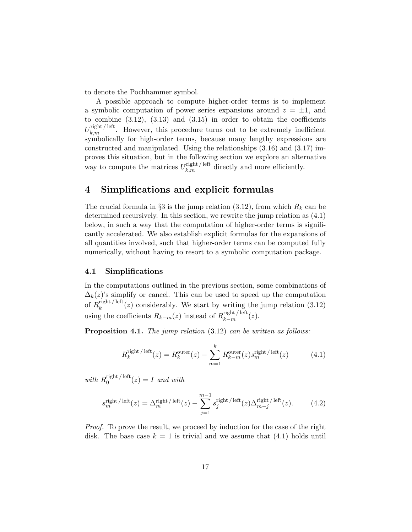to denote the Pochhammer symbol.

A possible approach to compute higher-order terms is to implement a symbolic computation of power series expansions around  $z = \pm 1$ , and to combine  $(3.12)$ ,  $(3.13)$  and  $(3.15)$  in order to obtain the coefficients  $U_{k,m}^{\text{right/ left}}$ . However, this procedure turns out to be extremely inefficient symbolically for high-order terms, because many lengthy expressions are constructed and manipulated. Using the relationships (3.16) and (3.17) improves this situation, but in the following section we explore an alternative way to compute the matrices  $U_{k,m}^{\text{right/ left}}$  directly and more efficiently.

# 4 Simplifications and explicit formulas

The crucial formula in §3 is the jump relation (3.12), from which  $R_k$  can be determined recursively. In this section, we rewrite the jump relation as (4.1) below, in such a way that the computation of higher-order terms is significantly accelerated. We also establish explicit formulas for the expansions of all quantities involved, such that higher-order terms can be computed fully numerically, without having to resort to a symbolic computation package.

#### 4.1 Simplifications

In the computations outlined in the previous section, some combinations of  $\Delta_k(z)$ 's simplify or cancel. This can be used to speed up the computation of  $R_k^{\text{right}/\,\text{left}}$  $\lim_{k}$  (z) considerably. We start by writing the jump relation (3.12) using the coefficients  $R_{k-m}(z)$  instead of  $R_{k-m}^{\text{right/ left}}(z)$ .

**Proposition 4.1.** The jump relation  $(3.12)$  can be written as follows:

$$
R_k^{\text{right/ left}}(z) = R_k^{\text{outer}}(z) - \sum_{m=1}^k R_{k-m}^{\text{outer}}(z) s_m^{\text{right/ left}}(z) \tag{4.1}
$$

with  $R_0^{\text{right}/\text{ left}}$  $0^{(\text{right})/\text{let}}(z) = I$  and with

$$
s_m^{\text{right/ left}}(z) = \Delta_m^{\text{right/ left}}(z) - \sum_{j=1}^{m-1} s_j^{\text{right/ left}}(z) \Delta_{m-j}^{\text{right/ left}}(z). \tag{4.2}
$$

Proof. To prove the result, we proceed by induction for the case of the right disk. The base case  $k = 1$  is trivial and we assume that (4.1) holds until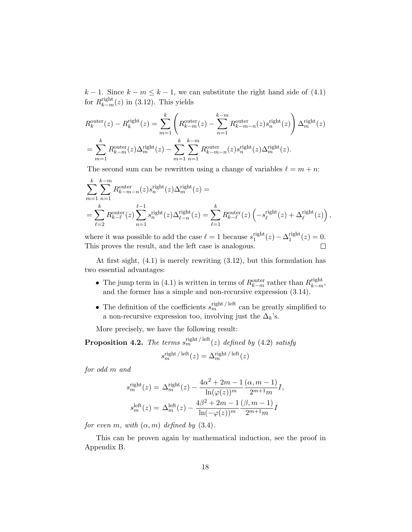$k-1$ . Since  $k-m \leq k-1$ , we can substitute the right hand side of (4.1) for  $R_{k-m}^{\text{right}}(z)$  in (3.12). This yields

$$
R_k^{\text{outer}}(z) - R_k^{\text{right}}(z) = \sum_{m=1}^k \left( R_{k-m}^{\text{outer}}(z) - \sum_{n=1}^{k-m} R_{k-m-n}^{\text{outer}}(z) s_n^{\text{right}}(z) \right) \Delta_m^{\text{right}}(z)
$$

$$
= \sum_{m=1}^k R_{k-m}^{\text{outer}}(z) \Delta_m^{\text{right}}(z) - \sum_{m=1}^k \sum_{n=1}^{k-m} R_{k-m-n}^{\text{outer}}(z) s_n^{\text{right}}(z) \Delta_m^{\text{right}}(z).
$$

The second sum can be rewritten using a change of variables  $\ell = m + n$ :

$$
\sum_{m=1}^{k} \sum_{n=1}^{k-m} R_{k-m-n}^{\text{outer}}(z) s_n^{\text{right}}(z) \Delta_m^{\text{right}}(z) =
$$
\n
$$
= \sum_{\ell=2}^{k} R_{k-\ell}^{\text{outer}}(z) \sum_{n=1}^{\ell-1} s_n^{\text{right}}(z) \Delta_{\ell-n}^{\text{right}}(z) = \sum_{\ell=1}^{k} R_{k-\ell}^{\text{outer}}(z) \left( -s_{\ell}^{\text{right}}(z) + \Delta_{\ell}^{\text{right}}(z) \right),
$$

where it was possible to add the case  $\ell = 1$  because  $s_1^{\text{right}}$  $1^{\text{right}}(z) - \Delta_1^{\text{right}}$  $1^{\text{right}}(z) = 0.$ This proves the result, and the left case is analogous.  $\Box$ 

At first sight, (4.1) is merely rewriting (3.12), but this formulation has two essential advantages:

- The jump term in (4.1) is written in terms of  $R_{k-m}^{\text{outer}}$  rather than  $R_{k-m}^{\text{right}}$ , and the former has a simple and non-recursive expression (3.14).
- The definition of the coefficients  $s_m^{\text{right/ left}}$  can be greatly simplified to a non-recursive expression too, involving just the  $\Delta_k$ 's.

More precisely, we have the following result:

**Proposition 4.2.** The terms  $s_m^{\text{right/ left}}(z)$  defined by (4.2) satisfy  $s_m^{\text{right/ left}}(z) = \Delta_m^{\text{right/ left}}(z)$ 

for odd m and

$$
s_m^{\text{right}}(z) = \Delta_m^{\text{right}}(z) - \frac{4\alpha^2 + 2m - 1}{\ln(\varphi(z))^m} \frac{(\alpha, m - 1)}{2^{m+1}m} I,
$$
  

$$
s_m^{\text{left}}(z) = \Delta_m^{\text{left}}(z) - \frac{4\beta^2 + 2m - 1}{\ln(-\varphi(z))^m} \frac{(\beta, m - 1)}{2^{m+1}m} I
$$

for even m, with  $(\alpha, m)$  defined by  $(3.4)$ .

This can be proven again by mathematical induction, see the proof in Appendix B.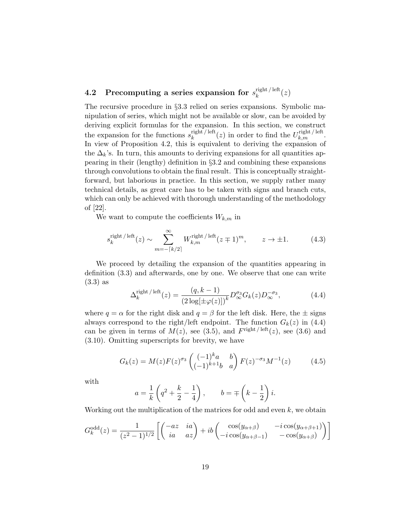#### 4.2 Precomputing a series expansion for  $s_k^{\text{right/left}}$  $\frac{\text{right} / \text{left}}{k}(z)$

The recursive procedure in §3.3 relied on series expansions. Symbolic manipulation of series, which might not be available or slow, can be avoided by deriving explicit formulas for the expansion. In this section, we construct the expansion for the functions  $s_k^{\text{right/ left}}$  $\frac{\text{right/left}}{k}$  (*z*) in order to find the  $U_{k,m}^{\text{right/left}}$ . In view of Proposition 4.2, this is equivalent to deriving the expansion of the  $\Delta_k$ 's. In turn, this amounts to deriving expansions for all quantities appearing in their (lengthy) definition in §3.2 and combining these expansions through convolutions to obtain the final result. This is conceptually straightforward, but laborious in practice. In this section, we supply rather many technical details, as great care has to be taken with signs and branch cuts, which can only be achieved with thorough understanding of the methodology of [22].

We want to compute the coefficients  $W_{k,m}$  in

$$
s_k^{\text{right/ left}}(z) \sim \sum_{m=-\lceil k/2 \rceil}^{\infty} W_{k,m}^{\text{right/ left}}(z \mp 1)^m, \qquad z \to \pm 1. \tag{4.3}
$$

We proceed by detailing the expansion of the quantities appearing in definition (3.3) and afterwards, one by one. We observe that one can write (3.3) as

$$
\Delta_k^{\text{right/ left}}(z) = \frac{(q, k-1)}{(2\log[\pm \varphi(z)])^k} D_{\infty}^{\sigma_3} G_k(z) D_{\infty}^{-\sigma_3},\tag{4.4}
$$

where  $q = \alpha$  for the right disk and  $q = \beta$  for the left disk. Here, the  $\pm$  signs always correspond to the right/left endpoint. The function  $G_k(z)$  in (4.4) can be given in terms of  $M(z)$ , see (3.5), and  $F^{\text{right/left}}(z)$ , see (3.6) and (3.10). Omitting superscripts for brevity, we have

$$
G_k(z) = M(z)F(z)^{\sigma_3} \begin{pmatrix} (-1)^k a & b \\ (-1)^{k+1} b & a \end{pmatrix} F(z)^{-\sigma_3} M^{-1}(z) \tag{4.5}
$$

with

$$
a = \frac{1}{k} \left( q^2 + \frac{k}{2} - \frac{1}{4} \right), \qquad b = \mp \left( k - \frac{1}{2} \right) i.
$$

Working out the multiplication of the matrices for odd and even  $k$ , we obtain

$$
G_k^{\text{odd}}(z) = \frac{1}{(z^2 - 1)^{1/2}} \left[ \begin{pmatrix} -az & ia \\ ia & az \end{pmatrix} + ib \begin{pmatrix} \cos(y_{\alpha+\beta}) & -i\cos(y_{\alpha+\beta+1}) \\ -i\cos(y_{\alpha+\beta-1}) & -\cos(y_{\alpha+\beta}) \end{pmatrix} \right]
$$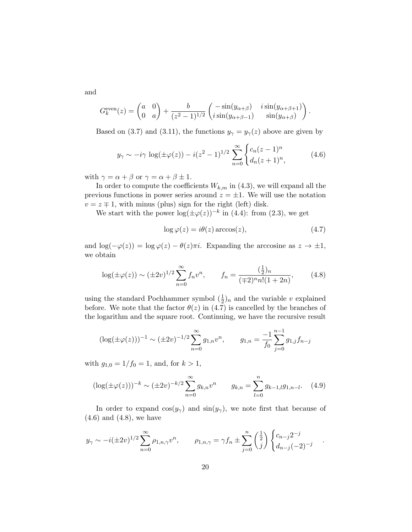and

$$
G_k^{\text{even}}(z) = \begin{pmatrix} a & 0 \\ 0 & a \end{pmatrix} + \frac{b}{(z^2 - 1)^{1/2}} \begin{pmatrix} -\sin(y_{\alpha+\beta}) & i\sin(y_{\alpha+\beta+1}) \\ i\sin(y_{\alpha+\beta-1}) & \sin(y_{\alpha+\beta}) \end{pmatrix}.
$$

Based on (3.7) and (3.11), the functions  $y_{\gamma} = y_{\gamma}(z)$  above are given by

$$
y_{\gamma} \sim -i\gamma \log(\pm \varphi(z)) - i(z^2 - 1)^{1/2} \sum_{n=0}^{\infty} \begin{cases} c_n(z-1)^n \\ d_n(z+1)^n, \end{cases}
$$
 (4.6)

with  $\gamma = \alpha + \beta$  or  $\gamma = \alpha + \beta \pm 1$ .

In order to compute the coefficients  $W_{k,m}$  in (4.3), we will expand all the previous functions in power series around  $z = \pm 1$ . We will use the notation  $v = z \mp 1$ , with minus (plus) sign for the right (left) disk.

We start with the power  $\log(\pm \varphi(z))^{-k}$  in (4.4): from (2.3), we get

$$
\log \varphi(z) = i\theta(z) \arccos(z),\tag{4.7}
$$

and  $\log(-\varphi(z)) = \log \varphi(z) - \theta(z)\pi i$ . Expanding the arccosine as  $z \to \pm 1$ , we obtain

$$
\log(\pm \varphi(z)) \sim (\pm 2v)^{1/2} \sum_{n=0}^{\infty} f_n v^n, \qquad f_n = \frac{(\frac{1}{2})_n}{(\mp 2)^n n! (1+2n)}, \tag{4.8}
$$

using the standard Pochhammer symbol  $(\frac{1}{2})_n$  and the variable v explained before. We note that the factor  $\theta(z)$  in (4.7) is cancelled by the branches of the logarithm and the square root. Continuing, we have the recursive result

$$
(\log(\pm \varphi(z)))^{-1} \sim (\pm 2v)^{-1/2} \sum_{n=0}^{\infty} g_{1,n} v^n, \qquad g_{1,n} = \frac{-1}{f_0} \sum_{j=0}^{n-1} g_{1,j} f_{n-j}
$$

with  $g_{1,0} = 1/f_0 = 1$ , and, for  $k > 1$ ,

$$
(\log(\pm \varphi(z)))^{-k} \sim (\pm 2v)^{-k/2} \sum_{n=0}^{\infty} g_{k,n} v^n \qquad g_{k,n} = \sum_{l=0}^{n} g_{k-l,l} g_{l,n-l}. \quad (4.9)
$$

In order to expand  $cos(y_\gamma)$  and  $sin(y_\gamma)$ , we note first that because of (4.6) and (4.8), we have

$$
y_{\gamma} \sim -i(\pm 2v)^{1/2} \sum_{n=0}^{\infty} \rho_{1,n,\gamma} v^n
$$
,  $\rho_{1,n,\gamma} = \gamma f_n \pm \sum_{j=0}^{n} \left(\frac{1}{j}\right) \begin{cases} c_{n-j} 2^{-j} \\ d_{n-j}(-2)^{-j} \end{cases}$ 

.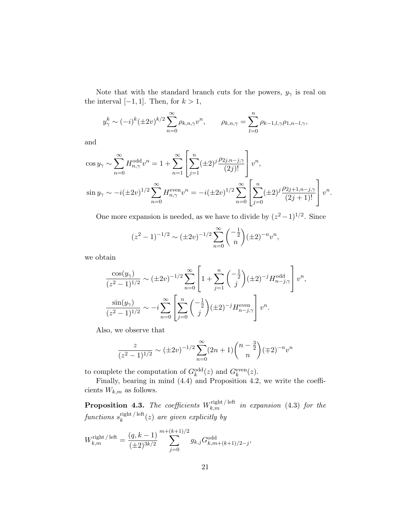Note that with the standard branch cuts for the powers,  $y_{\gamma}$  is real on the interval  $[-1, 1]$ . Then, for  $k > 1$ ,

$$
y_{\gamma}^{k} \sim (-i)^{k} (\pm 2v)^{k/2} \sum_{n=0}^{\infty} \rho_{k,n,\gamma} v^{n}, \qquad \rho_{k,n,\gamma} = \sum_{l=0}^{n} \rho_{k-l,l,\gamma} \rho_{1,n-l,\gamma},
$$

and

$$
\cos y_{\gamma} \sim \sum_{n=0}^{\infty} H_{n,\gamma}^{\text{odd}} v^n = 1 + \sum_{n=1}^{\infty} \left[ \sum_{j=1}^{n} (\pm 2)^j \frac{\rho_{2j,n-j,\gamma}}{(2j)!} \right] v^n,
$$
  

$$
\sin y_{\gamma} \sim -i (\pm 2v)^{1/2} \sum_{n=0}^{\infty} H_{n,\gamma}^{\text{even}} v^n = -i (\pm 2v)^{1/2} \sum_{n=0}^{\infty} \left[ \sum_{j=0}^{n} (\pm 2)^j \frac{\rho_{2j+1,n-j,\gamma}}{(2j+1)!} \right] v^n.
$$

One more expansion is needed, as we have to divide by  $(z^2 - 1)^{1/2}$ . Since

$$
(z^2 - 1)^{-1/2} \sim (\pm 2v)^{-1/2} \sum_{n=0}^{\infty} {\binom{-\frac{1}{2}}{n}} (\pm 2)^{-n} v^n,
$$

we obtain

$$
\frac{\cos(y_{\gamma})}{(z^2 - 1)^{1/2}} \sim (\pm 2v)^{-1/2} \sum_{n=0}^{\infty} \left[ 1 + \sum_{j=1}^{n} {\frac{-\frac{1}{2}}{j}} (\pm 2)^{-j} H_{n-j,\gamma}^{\text{odd}} \right] v^n,
$$
  

$$
\frac{\sin(y_{\gamma})}{(z^2 - 1)^{1/2}} \sim -i \sum_{n=0}^{\infty} \left[ \sum_{j=0}^{n} {\frac{-\frac{1}{2}}{j}} (\pm 2)^{-j} H_{n-j,\gamma}^{\text{even}} \right] v^n.
$$

Also, we observe that

$$
\frac{z}{(z^2-1)^{1/2}} \sim (\pm 2v)^{-1/2} \sum_{n=0}^{\infty} (2n+1) {n-\frac{3}{2} \choose n} (\mp 2)^{-n} v^n
$$

to complete the computation of  $G_k^{\text{odd}}(z)$  and  $G_k^{\text{even}}(z)$ .

Finally, bearing in mind (4.4) and Proposition 4.2, we write the coefficients  $W_{k,m}$  as follows.

**Proposition 4.3.** The coefficients  $W_{k,m}^{\text{right/ left}}$  in expansion (4.3) for the  $functions \; s_k^{\text{right}/\,\text{left}}$  $\lim_{k}$  (z) are given explicitly by

$$
W_{k,m}^{\text{right/ left}} = \frac{(q, k-1)}{(\pm 2)^{3k/2}} \sum_{j=0}^{m+(k+1)/2} g_{k,j} G_{k,m+(k+1)/2-j}^{\text{odd}},
$$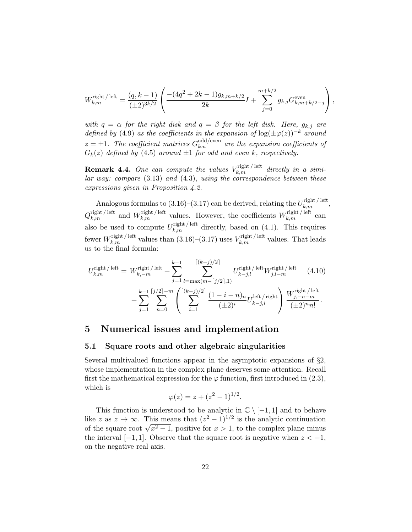$$
W_{k,m}^{\text{right/ left}} = \frac{(q, k-1)}{(\pm 2)^{3k/2}} \left( \frac{-(4q^2 + 2k - 1)g_{k,m+k/2}}{2k} I + \sum_{j=0}^{m+k/2} g_{k,j} G_{k,m+k/2-j}^{\text{even}} \right),
$$

with  $q = \alpha$  for the right disk and  $q = \beta$  for the left disk. Here,  $g_{k,i}$  are defined by (4.9) as the coefficients in the expansion of  $\log(\pm \varphi(z))^{-k}$  around  $z = \pm 1$ . The coefficient matrices  $G_{k,n}^{\text{odd/even}}$  are the expansion coefficients of  $G_k(z)$  defined by (4.5) around  $\pm 1$  for odd and even k, respectively.

**Remark 4.4.** One can compute the values  $V_{k,m}^{\text{right/ left}}$  directly in a simi $lar$  way: compare  $(3.13)$  and  $(4.3)$ , using the correspondence between these expressions given in Proposition 4.2.

Analogous formulas to  $(3.16)$ – $(3.17)$  can be derived, relating the  $U_{k,m}^{\text{right/ left}}$ ,  $Q_{k,m}^{\text{right/ left}}$  and  $W_{k,m}^{\text{right/ left}}$  values. However, the coefficients  $W_{k,m}^{\text{right/ left}}$  can also be used to compute  $U_{k,m}^{\text{right/ left}}$  directly, based on (4.1). This requires fewer  $W_{k,m}^{\text{right/left}}$  values than  $(3.16)$ – $(3.17)$  uses  $V_{k,m}^{\text{right/left}}$  values. That leads us to the final formula:

$$
U_{k,m}^{\text{right/left}} = W_{k,-m}^{\text{right/left}} + \sum_{j=1}^{k-1} \sum_{l=\max(m-[j/2],1)}^{\lceil (k-j)/2 \rceil} U_{k-j,l}^{\text{right/left}} + \sum_{j=1}^{k-1} \sum_{n=0}^{\lceil j/2 \rceil - m} \left( \sum_{i=1}^{\lceil (k-j)/2 \rceil} \frac{(1-i-n)_n}{(\pm 2)^i} U_{k-j,i}^{\text{right/left}} \right) \frac{W_{j,-n-m}^{\text{right/left/left}}}{(\pm 2)^n n!}.
$$
\n(4.10)

# 5 Numerical issues and implementation

#### 5.1 Square roots and other algebraic singularities

Several multivalued functions appear in the asymptotic expansions of §2, whose implementation in the complex plane deserves some attention. Recall first the mathematical expression for the  $\varphi$  function, first introduced in (2.3), which is

$$
\varphi(z) = z + (z^2 - 1)^{1/2}.
$$

This function is understood to be analytic in  $\mathbb{C} \setminus [-1,1]$  and to behave like z as  $z \to \infty$ . This means that  $(z^2 - 1)^{1/2}$  is the analytic continuation of the square root  $\sqrt{x^2-1}$ , positive for  $x > 1$ , to the complex plane minus the interval  $[-1, 1]$ . Observe that the square root is negative when  $z < -1$ , on the negative real axis.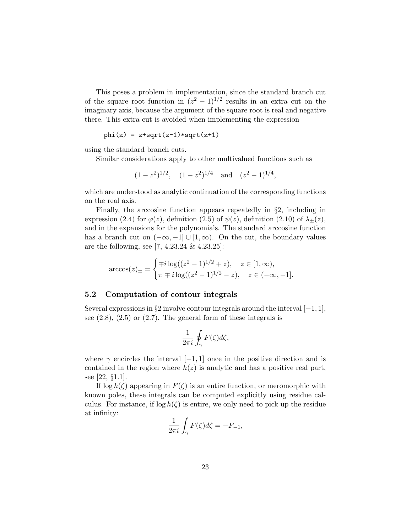This poses a problem in implementation, since the standard branch cut of the square root function in  $(z^2 - 1)^{1/2}$  results in an extra cut on the imaginary axis, because the argument of the square root is real and negative there. This extra cut is avoided when implementing the expression

$$
phi(z) = z + sqrt(z-1) * sqrt(z+1)
$$

using the standard branch cuts.

Similar considerations apply to other multivalued functions such as

$$
(1-z^2)^{1/2}
$$
,  $(1-z^2)^{1/4}$  and  $(z^2-1)^{1/4}$ ,

which are understood as analytic continuation of the corresponding functions on the real axis.

Finally, the arccosine function appears repeatedly in §2, including in expression (2.4) for  $\varphi(z)$ , definition (2.5) of  $\psi(z)$ , definition (2.10) of  $\lambda_{\pm}(z)$ , and in the expansions for the polynomials. The standard arccosine function has a branch cut on  $(-\infty, -1] \cup [1, \infty)$ . On the cut, the boundary values are the following, see [7, 4.23.24 & 4.23.25]:

$$
\arccos(z)_{\pm} = \begin{cases} \mp i \log((z^2 - 1)^{1/2} + z), & z \in [1, \infty), \\ \pi \mp i \log((z^2 - 1)^{1/2} - z), & z \in (-\infty, -1]. \end{cases}
$$

#### 5.2 Computation of contour integrals

Several expressions in §2 involve contour integrals around the interval  $[-1, 1]$ , see  $(2.8)$ ,  $(2.5)$  or  $(2.7)$ . The general form of these integrals is

$$
\frac{1}{2\pi i}\oint_{\gamma}F(\zeta)d\zeta,
$$

where  $\gamma$  encircles the interval  $[-1, 1]$  once in the positive direction and is contained in the region where  $h(z)$  is analytic and has a positive real part, see [22, §1.1].

If  $\log h(\zeta)$  appearing in  $F(\zeta)$  is an entire function, or meromorphic with known poles, these integrals can be computed explicitly using residue calculus. For instance, if  $\log h(\zeta)$  is entire, we only need to pick up the residue at infinity:

$$
\frac{1}{2\pi i} \int_{\gamma} F(\zeta) d\zeta = -F_{-1},
$$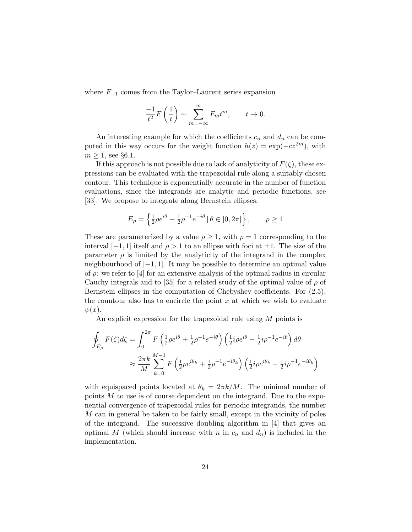where  $F_{-1}$  comes from the Taylor–Laurent series expansion

$$
\frac{-1}{t^2}F\left(\frac{1}{t}\right) \sim \sum_{m=-\infty}^{\infty} F_m t^m, \qquad t \to 0.
$$

An interesting example for which the coefficients  $c_n$  and  $d_n$  can be computed in this way occurs for the weight function  $h(z) = \exp(-cz^{2m})$ , with  $m \geq 1$ , see §6.1.

If this approach is not possible due to lack of analyticity of  $F(\zeta)$ , these expressions can be evaluated with the trapezoidal rule along a suitably chosen contour. This technique is exponentially accurate in the number of function evaluations, since the integrands are analytic and periodic functions, see [33]. We propose to integrate along Bernstein ellipses:

$$
E_{\rho} = \left\{ \frac{1}{2} \rho e^{i\theta} + \frac{1}{2} \rho^{-1} e^{-i\theta} \, | \, \theta \in [0, 2\pi] \right\}, \qquad \rho \ge 1
$$

These are parameterized by a value  $\rho > 1$ , with  $\rho = 1$  corresponding to the interval  $[-1, 1]$  itself and  $\rho > 1$  to an ellipse with foci at  $\pm 1$ . The size of the parameter  $\rho$  is limited by the analyticity of the integrand in the complex neighbourhood of [−1, 1]. It may be possible to determine an optimal value of  $\rho$ : we refer to [4] for an extensive analysis of the optimal radius in circular Cauchy integrals and to [35] for a related study of the optimal value of  $\rho$  of Bernstein ellipses in the computation of Chebyshev coefficients. For (2.5), the countour also has to encircle the point  $x$  at which we wish to evaluate  $\psi(x)$ .

An explicit expression for the trapezoidal rule using M points is

$$
\oint_{E_{\rho}} F(\zeta) d\zeta = \int_0^{2\pi} F\left(\frac{1}{2}\rho e^{i\theta} + \frac{1}{2}\rho^{-1}e^{-i\theta}\right) \left(\frac{1}{2}i\rho e^{i\theta} - \frac{1}{2}i\rho^{-1}e^{-i\theta}\right) d\theta
$$
\n
$$
\approx \frac{2\pi k}{M} \sum_{k=0}^{M-1} F\left(\frac{1}{2}\rho e^{i\theta_k} + \frac{1}{2}\rho^{-1}e^{-i\theta_k}\right) \left(\frac{1}{2}i\rho e^{i\theta_k} - \frac{1}{2}i\rho^{-1}e^{-i\theta_k}\right)
$$

with equispaced points located at  $\theta_k = 2\pi k/M$ . The minimal number of points M to use is of course dependent on the integrand. Due to the exponential convergence of trapezoidal rules for periodic integrands, the number M can in general be taken to be fairly small, except in the vicinity of poles of the integrand. The successive doubling algorithm in [4] that gives an optimal M (which should increase with n in  $c_n$  and  $d_n$ ) is included in the implementation.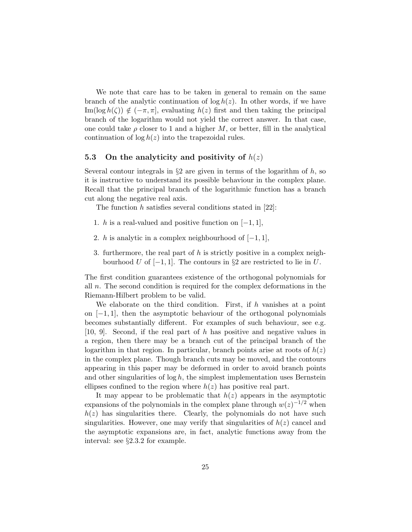We note that care has to be taken in general to remain on the same branch of the analytic continuation of  $\log h(z)$ . In other words, if we have Im(log  $h(\zeta)$ )  $\notin (-\pi, \pi]$ , evaluating  $h(z)$  first and then taking the principal branch of the logarithm would not yield the correct answer. In that case, one could take  $\rho$  closer to 1 and a higher M, or better, fill in the analytical continuation of  $\log h(z)$  into the trapezoidal rules.

## 5.3 On the analyticity and positivity of  $h(z)$

Several contour integrals in  $\S2$  are given in terms of the logarithm of h, so it is instructive to understand its possible behaviour in the complex plane. Recall that the principal branch of the logarithmic function has a branch cut along the negative real axis.

The function h satisfies several conditions stated in  $[22]$ :

- 1. h is a real-valued and positive function on  $[-1, 1]$ ,
- 2. h is analytic in a complex neighbourhood of  $[-1, 1]$ ,
- 3. furthermore, the real part of h is strictly positive in a complex neighbourhood U of  $[-1, 1]$ . The contours in §2 are restricted to lie in U.

The first condition guarantees existence of the orthogonal polynomials for all n. The second condition is required for the complex deformations in the Riemann-Hilbert problem to be valid.

We elaborate on the third condition. First, if  $h$  vanishes at a point on  $[-1, 1]$ , then the asymptotic behaviour of the orthogonal polynomials becomes substantially different. For examples of such behaviour, see e.g. [10, 9]. Second, if the real part of h has positive and negative values in a region, then there may be a branch cut of the principal branch of the logarithm in that region. In particular, branch points arise at roots of  $h(z)$ in the complex plane. Though branch cuts may be moved, and the contours appearing in this paper may be deformed in order to avoid branch points and other singularities of  $\log h$ , the simplest implementation uses Bernstein ellipses confined to the region where  $h(z)$  has positive real part.

It may appear to be problematic that  $h(z)$  appears in the asymptotic expansions of the polynomials in the complex plane through  $w(z)^{-1/2}$  when  $h(z)$  has singularities there. Clearly, the polynomials do not have such singularities. However, one may verify that singularities of  $h(z)$  cancel and the asymptotic expansions are, in fact, analytic functions away from the interval: see §2.3.2 for example.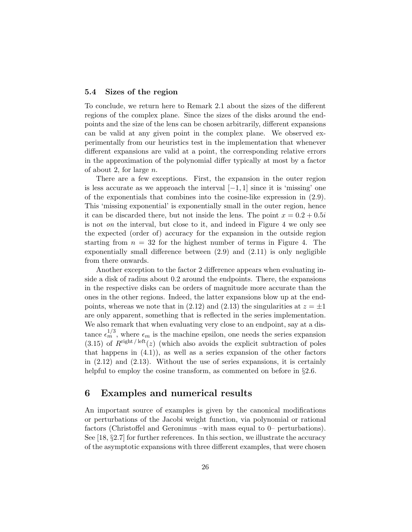## 5.4 Sizes of the region

To conclude, we return here to Remark 2.1 about the sizes of the different regions of the complex plane. Since the sizes of the disks around the endpoints and the size of the lens can be chosen arbitrarily, different expansions can be valid at any given point in the complex plane. We observed experimentally from our heuristics test in the implementation that whenever different expansions are valid at a point, the corresponding relative errors in the approximation of the polynomial differ typically at most by a factor of about 2, for large  $n$ .

There are a few exceptions. First, the expansion in the outer region is less accurate as we approach the interval  $[-1, 1]$  since it is 'missing' one of the exponentials that combines into the cosine-like expression in (2.9). This 'missing exponential' is exponentially small in the outer region, hence it can be discarded there, but not inside the lens. The point  $x = 0.2 + 0.5i$ is not *on* the interval, but close to it, and indeed in Figure 4 we only see the expected (order of) accuracy for the expansion in the outside region starting from  $n = 32$  for the highest number of terms in Figure 4. The exponentially small difference between (2.9) and (2.11) is only negligible from there onwards.

Another exception to the factor 2 difference appears when evaluating inside a disk of radius about 0.2 around the endpoints. There, the expansions in the respective disks can be orders of magnitude more accurate than the ones in the other regions. Indeed, the latter expansions blow up at the endpoints, whereas we note that in (2.12) and (2.13) the singularities at  $z = \pm 1$ are only apparent, something that is reflected in the series implementation. We also remark that when evaluating very close to an endpoint, say at a distance  $\epsilon_m^{1/3}$ , where  $\epsilon_m$  is the machine epsilon, one needs the series expansion (3.15) of  $R^{\text{right/ left}}(z)$  (which also avoids the explicit subtraction of poles that happens in  $(4.1)$ , as well as a series expansion of the other factors in (2.12) and (2.13). Without the use of series expansions, it is certainly helpful to employ the cosine transform, as commented on before in §2.6.

# 6 Examples and numerical results

An important source of examples is given by the canonical modifications or perturbations of the Jacobi weight function, via polynomial or rational factors (Christoffel and Geronimus –with mass equal to 0– perturbations). See [18, §2.7] for further references. In this section, we illustrate the accuracy of the asymptotic expansions with three different examples, that were chosen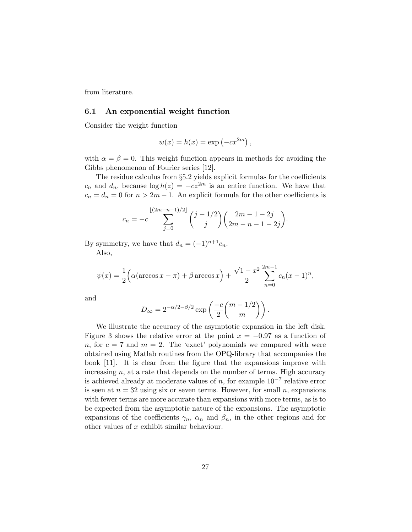from literature.

#### 6.1 An exponential weight function

Consider the weight function

$$
w(x) = h(x) = \exp(-cx^{2m}),
$$

with  $\alpha = \beta = 0$ . This weight function appears in methods for avoiding the Gibbs phenomenon of Fourier series [12].

The residue calculus from §5.2 yields explicit formulas for the coefficients  $c_n$  and  $d_n$ , because  $\log h(z) = -cz^{2m}$  is an entire function. We have that  $c_n = d_n = 0$  for  $n > 2m - 1$ . An explicit formula for the other coefficients is

$$
c_n = -c \sum_{j=0}^{\lfloor (2m-n-1)/2 \rfloor} {j-1/2 \choose j} {2m-1-2j \choose 2m-n-1-2j}.
$$

By symmetry, we have that  $d_n = (-1)^{n+1}c_n$ .

Also,

$$
\psi(x) = \frac{1}{2} \Big( \alpha (\arccos x - \pi) + \beta \arccos x \Big) + \frac{\sqrt{1 - x^2}}{2} \sum_{n=0}^{2m-1} c_n (x - 1)^n,
$$

and

$$
D_{\infty} = 2^{-\alpha/2 - \beta/2} \exp\left(\frac{-c}{2} {m-1/2 \choose m}\right).
$$

We illustrate the accuracy of the asymptotic expansion in the left disk. Figure 3 shows the relative error at the point  $x = -0.97$  as a function of n, for  $c = 7$  and  $m = 2$ . The 'exact' polynomials we compared with were obtained using Matlab routines from the OPQ-library that accompanies the book [11]. It is clear from the figure that the expansions improve with increasing  $n$ , at a rate that depends on the number of terms. High accuracy is achieved already at moderate values of  $n$ , for example  $10^{-7}$  relative error is seen at  $n = 32$  using six or seven terms. However, for small n, expansions with fewer terms are more accurate than expansions with more terms, as is to be expected from the asymptotic nature of the expansions. The asymptotic expansions of the coefficients  $\gamma_n$ ,  $\alpha_n$  and  $\beta_n$ , in the other regions and for other values of x exhibit similar behaviour.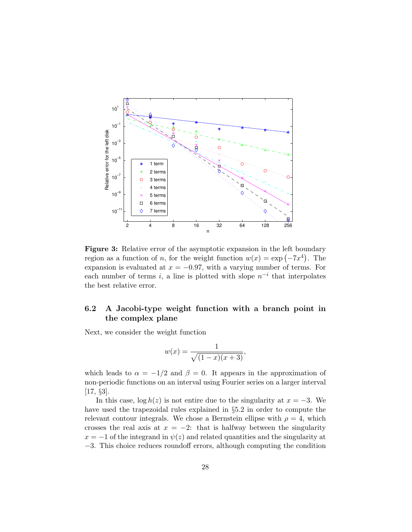

Figure 3: Relative error of the asymptotic expansion in the left boundary region as a function of *n*, for the weight function  $w(x) = \exp(-7x^4)$ . The expansion is evaluated at  $x = -0.97$ , with a varying number of terms. For each number of terms i, a line is plotted with slope  $n^{-i}$  that interpolates the best relative error.

# 6.2 A Jacobi-type weight function with a branch point in the complex plane

Next, we consider the weight function

$$
w(x) = \frac{1}{\sqrt{(1-x)(x+3)}},
$$

which leads to  $\alpha = -1/2$  and  $\beta = 0$ . It appears in the approximation of non-periodic functions on an interval using Fourier series on a larger interval [17, §3].

In this case,  $\log h(z)$  is not entire due to the singularity at  $x = -3$ . We have used the trapezoidal rules explained in §5.2 in order to compute the relevant contour integrals. We chose a Bernstein ellipse with  $\rho = 4$ , which crosses the real axis at  $x = -2$ : that is halfway between the singularity  $x = -1$  of the integrand in  $\psi(z)$  and related quantities and the singularity at −3. This choice reduces roundoff errors, although computing the condition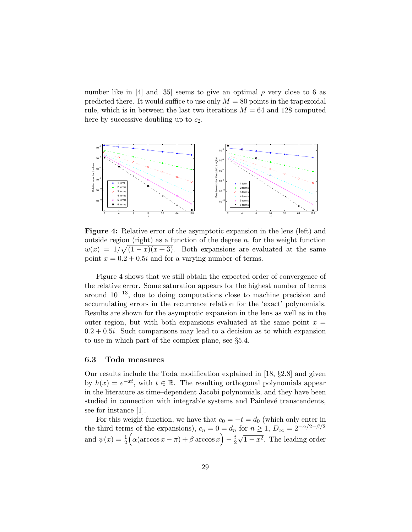number like in [4] and [35] seems to give an optimal  $\rho$  very close to 6 as predicted there. It would suffice to use only  $M = 80$  points in the trapezoidal rule, which is in between the last two iterations  $M = 64$  and 128 computed here by successive doubling up to  $c_2$ .



Figure 4: Relative error of the asymptotic expansion in the lens (left) and outside region (right) as a function of the degree  $n$ , for the weight function  $w(x) = 1/\sqrt{(1-x)(x+3)}$ . Both expansions are evaluated at the same point  $x = 0.2 + 0.5i$  and for a varying number of terms.

Figure 4 shows that we still obtain the expected order of convergence of the relative error. Some saturation appears for the highest number of terms around  $10^{-13}$ , due to doing computations close to machine precision and accumulating errors in the recurrence relation for the 'exact' polynomials. Results are shown for the asymptotic expansion in the lens as well as in the outer region, but with both expansions evaluated at the same point  $x =$  $0.2 + 0.5i$ . Such comparisons may lead to a decision as to which expansion to use in which part of the complex plane, see §5.4.

#### 6.3 Toda measures

Our results include the Toda modification explained in [18, §2.8] and given by  $h(x) = e^{-xt}$ , with  $t \in \mathbb{R}$ . The resulting orthogonal polynomials appear in the literature as time–dependent Jacobi polynomials, and they have been studied in connection with integrable systems and Painlevé transcendents, see for instance [1].

For this weight function, we have that  $c_0 = -t = d_0$  (which only enter in the third terms of the expansions),  $c_n = 0 = d_n$  for  $n \ge 1$ ,  $D_{\infty} = 2^{-\alpha/2 - \beta/2}$ and  $\psi(x) = \frac{1}{2} \Big( \alpha (\arccos x - \pi) + \beta \arccos x \Big) - \frac{t}{2}$ 2  $\sqrt{1-x^2}$ . The leading order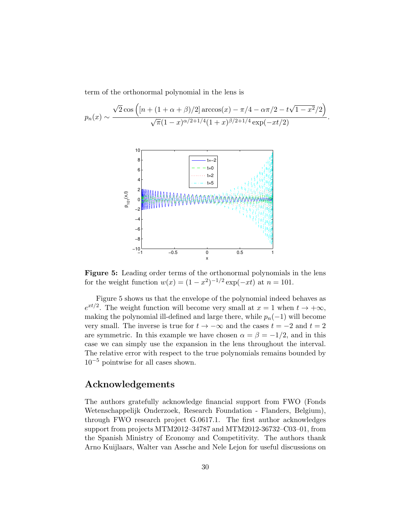term of the orthonormal polynomial in the lens is

$$
p_n(x) \sim \frac{\sqrt{2}\cos\left( [n + (1 + \alpha + \beta)/2] \arccos(x) - \pi/4 - \alpha\pi/2 - t\sqrt{1 - x^2}/2 \right)}{\sqrt{\pi}(1 - x)^{\alpha/2 + 1/4}(1 + x)^{\beta/2 + 1/4} \exp(-xt/2)}.
$$



Figure 5: Leading order terms of the orthonormal polynomials in the lens for the weight function  $w(x) = (1 - x^2)^{-1/2} \exp(-xt)$  at  $n = 101$ .

Figure 5 shows us that the envelope of the polynomial indeed behaves as  $e^{xt/2}$ . The weight function will become very small at  $x = 1$  when  $t \to +\infty$ , making the polynomial ill-defined and large there, while  $p_n(-1)$  will become very small. The inverse is true for  $t \to -\infty$  and the cases  $t = -2$  and  $t = 2$ are symmetric. In this example we have chosen  $\alpha = \beta = -1/2$ , and in this case we can simply use the expansion in the lens throughout the interval. The relative error with respect to the true polynomials remains bounded by  $10^{-5}$  pointwise for all cases shown.

# Acknowledgements

The authors gratefully acknowledge financial support from FWO (Fonds Wetenschappelijk Onderzoek, Research Foundation - Flanders, Belgium), through FWO research project G.0617.1. The first author acknowledges support from projects MTM2012–34787 and MTM2012-36732–C03–01, from the Spanish Ministry of Economy and Competitivity. The authors thank Arno Kuijlaars, Walter van Assche and Nele Lejon for useful discussions on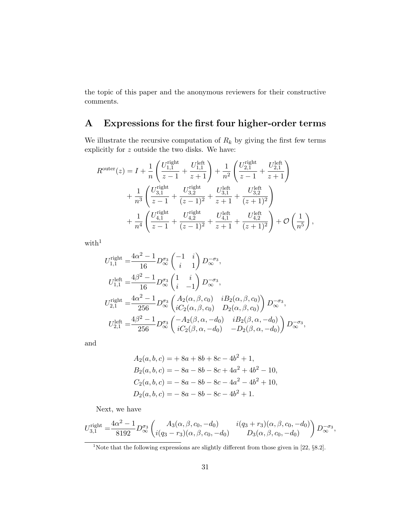the topic of this paper and the anonymous reviewers for their constructive comments.

# A Expressions for the first four higher-order terms

We illustrate the recursive computation of  $R_k$  by giving the first few terms explicitly for  $z$  outside the two disks. We have:

$$
\begin{split} R^{\text{outer}}(z) &= I + \frac{1}{n} \left( \frac{U_{1,1}^{\text{right}}}{z-1} + \frac{U_{1,1}^{\text{left}}}{z+1} \right) + \frac{1}{n^2} \left( \frac{U_{2,1}^{\text{right}}}{z-1} + \frac{U_{2,1}^{\text{left}}}{z+1} \right) \\ &\quad + \frac{1}{n^3} \left( \frac{U_{3,1}^{\text{right}}}{z-1} + \frac{U_{3,2}^{\text{right}}}{(z-1)^2} + \frac{U_{3,1}^{\text{left}}}{z+1} + \frac{U_{3,2}^{\text{left}}}{(z+1)^2} \right) \\ &\quad + \frac{1}{n^4} \left( \frac{U_{4,1}^{\text{right}}}{z-1} + \frac{U_{4,2}^{\text{right}}}{(z-1)^2} + \frac{U_{4,1}^{\text{left}}}{z+1} + \frac{U_{4,2}^{\text{left}}}{(z+1)^2} \right) + \mathcal{O}\left( \frac{1}{n^5} \right), \end{split}
$$

 $\rm{with}^1$ 

$$
U_{1,1}^{\text{right}} = \frac{4\alpha^2 - 1}{16} D_{\infty}^{\sigma_3} \begin{pmatrix} -1 & i \\ i & 1 \end{pmatrix} D_{\infty}^{-\sigma_3},
$$
  
\n
$$
U_{1,1}^{\text{left}} = \frac{4\beta^2 - 1}{16} D_{\infty}^{\sigma_3} \begin{pmatrix} 1 & i \\ i & -1 \end{pmatrix} D_{\infty}^{-\sigma_3},
$$
  
\n
$$
U_{2,1}^{\text{right}} = \frac{4\alpha^2 - 1}{256} D_{\infty}^{\sigma_3} \begin{pmatrix} A_2(\alpha, \beta, c_0) & iB_2(\alpha, \beta, c_0) \\ iC_2(\alpha, \beta, c_0) & D_2(\alpha, \beta, c_0) \end{pmatrix} D_{\infty}^{-\sigma_3},
$$
  
\n
$$
U_{2,1}^{\text{left}} = \frac{4\beta^2 - 1}{256} D_{\infty}^{\sigma_3} \begin{pmatrix} -A_2(\beta, \alpha, -d_0) & iB_2(\beta, \alpha, -d_0) \\ iC_2(\beta, \alpha, -d_0) & -D_2(\beta, \alpha, -d_0) \end{pmatrix} D_{\infty}^{-\sigma_3},
$$

and

$$
A_2(a, b, c) = + 8a + 8b + 8c - 4b^2 + 1,
$$
  
\n
$$
B_2(a, b, c) = -8a - 8b - 8c + 4a^2 + 4b^2 - 10,
$$
  
\n
$$
C_2(a, b, c) = -8a - 8b - 8c - 4a^2 - 4b^2 + 10,
$$
  
\n
$$
D_2(a, b, c) = -8a - 8b - 8c - 4b^2 + 1.
$$

Next, we have

$$
U_{3,1}^{\text{right}} = \frac{4\alpha^2 - 1}{8192} D_{\infty}^{\sigma_3} \begin{pmatrix} A_3(\alpha, \beta, c_0, -d_0) & i(q_3 + r_3)(\alpha, \beta, c_0, -d_0) \\ i(q_3 - r_3)(\alpha, \beta, c_0, -d_0) & D_3(\alpha, \beta, c_0, -d_0) \end{pmatrix} D_{\infty}^{-\sigma_3},
$$

<sup>1</sup>Note that the following expressions are slightly different from those given in [22, §8.2].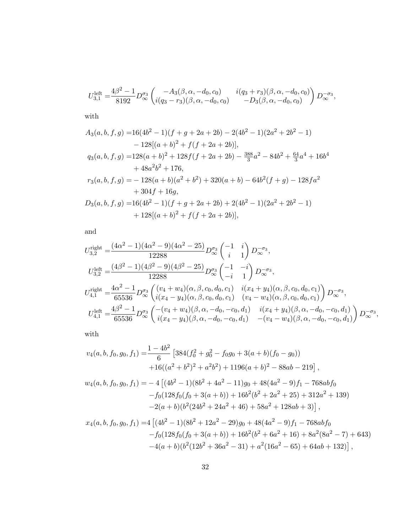$$
U_{3,1}^{\text{left}} = \frac{4\beta^2 - 1}{8192} D_{\infty}^{\sigma_3} \begin{pmatrix} -A_3(\beta, \alpha, -d_0, c_0) & i(q_3 + r_3)(\beta, \alpha, -d_0, c_0) \\ i(q_3 - r_3)(\beta, \alpha, -d_0, c_0) & -D_3(\beta, \alpha, -d_0, c_0) \end{pmatrix} D_{\infty}^{-\sigma_3},
$$

with

$$
A_3(a, b, f, g) = 16(4b^2 - 1)(f + g + 2a + 2b) - 2(4b^2 - 1)(2a^2 + 2b^2 - 1)
$$
  
\n
$$
- 128[(a + b)^2 + f(f + 2a + 2b)],
$$
  
\n
$$
q_3(a, b, f, g) = 128(a + b)^2 + 128f(f + 2a + 2b) - \frac{388}{3}a^2 - 84b^2 + \frac{64}{3}a^4 + 16b^4
$$
  
\n
$$
+ 48a^2b^2 + 176,
$$
  
\n
$$
r_3(a, b, f, g) = - 128(a + b)(a^2 + b^2) + 320(a + b) - 64b^2(f + g) - 128fa^2
$$
  
\n
$$
+ 304f + 16g,
$$
  
\n
$$
D_3(a, b, f, g) = 16(4b^2 - 1)(f + g + 2a + 2b) + 2(4b^2 - 1)(2a^2 + 2b^2 - 1)
$$
  
\n
$$
+ 128[(a + b)^2 + f(f + 2a + 2b)],
$$

and

$$
U_{3,2}^{\text{right}} = \frac{(4\alpha^2 - 1)(4\alpha^2 - 9)(4\alpha^2 - 25)}{12288} D_{\infty}^{\sigma_3} \begin{pmatrix} -1 & i \\ i & 1 \end{pmatrix} D_{\infty}^{-\sigma_3},
$$
  
\n
$$
U_{3,2}^{\text{left}} = \frac{(4\beta^2 - 1)(4\beta^2 - 9)(4\beta^2 - 25)}{12288} D_{\infty}^{\sigma_3} \begin{pmatrix} -1 & -i \\ -i & 1 \end{pmatrix} D_{\infty}^{-\sigma_3},
$$
  
\n
$$
U_{4,1}^{\text{right}} = \frac{4\alpha^2 - 1}{65536} D_{\infty}^{\sigma_3} \begin{pmatrix} (v_4 + w_4)(\alpha, \beta, c_0, d_0, c_1) & i(x_4 + y_4)(\alpha, \beta, c_0, d_0, c_1) \\ i(x_4 - y_4)(\alpha, \beta, c_0, d_0, c_1) & (v_4 - w_4)(\alpha, \beta, c_0, d_0, c_1) \end{pmatrix} D_{\infty}^{-\sigma_3},
$$
  
\n
$$
U_{4,1}^{\text{left}} = \frac{4\beta^2 - 1}{65536} D_{\infty}^{\sigma_3} \begin{pmatrix} -(v_4 + w_4)(\beta, \alpha, -d_0, -c_0, d_1) & i(x_4 + y_4)(\beta, \alpha, -d_0, -c_0, d_1) \\ i(x_4 + y_4)(\beta, \alpha, -d_0, -c_0, d_1) & -(v_4 - w_4)(\beta, \alpha, -d_0, -c_0, d_1) \end{pmatrix} D_{\infty}^{-\sigma_3},
$$

with

$$
v_4(a, b, f_0, g_0, f_1) = \frac{1 - 4b^2}{6} \left[ 384(f_0^2 + g_0^2 - f_0g_0 + 3(a + b)(f_0 - g_0)) + 16((a^2 + b^2)^2 + a^2b^2) + 1196(a + b)^2 - 88ab - 219 \right],
$$

$$
w_4(a, b, f_0, g_0, f_1) = -4 [(4b^2 - 1)(8b^2 + 4a^2 - 11)g_0 + 48(4a^2 - 9)f_1 - 768abf_0 -f_0(128f_0(f_0 + 3(a + b)) + 16b^2(b^2 + 2a^2 + 25) + 312a^2 + 139)-2(a + b)(b^2(24b^2 + 24a^2 + 46) + 58a^2 + 128ab + 3)],
$$

$$
x_4(a, b, f_0, g_0, f_1) = 4 [(4b^2 - 1)(8b^2 + 12a^2 - 29)g_0 + 48(4a^2 - 9)f_1 - 768abf_0 - f_0(128f_0(f_0 + 3(a + b)) + 16b^2(b^2 + 6a^2 + 16) + 8a^2(8a^2 - 7) + 643)- 4(a + b)(b^2(12b^2 + 36a^2 - 31) + a^2(16a^2 - 65) + 64ab + 132)],
$$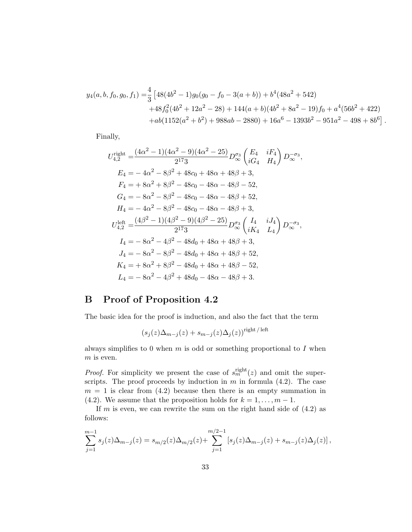$$
y_4(a, b, f_0, g_0, f_1) = \frac{4}{3} \left[ 48(4b^2 - 1)g_0(g_0 - f_0 - 3(a + b)) + b^4(48a^2 + 542) + 48f_0^2(4b^2 + 12a^2 - 28) + 144(a + b)(4b^2 + 8a^2 - 19)f_0 + a^4(56b^2 + 422) + ab(1152(a^2 + b^2) + 988ab - 2880) + 16a^6 - 1393b^2 - 951a^2 - 498 + 8b^6 \right].
$$

Finally,

$$
U_{4,2}^{\text{right}} = \frac{(4\alpha^2 - 1)(4\alpha^2 - 9)(4\alpha^2 - 25)}{2^{17}3} D_{\infty}^{\sigma_3} \begin{pmatrix} E_4 & iF_4 \ iG_4 & H_4 \end{pmatrix} D_{\infty}^{-\sigma_3},
$$
  
\n
$$
E_4 = -4\alpha^2 - 8\beta^2 + 48\alpha_0 + 48\alpha + 48\beta + 3,
$$
  
\n
$$
F_4 = +8\alpha^2 + 8\beta^2 - 48\alpha_0 - 48\alpha - 48\beta - 52,
$$
  
\n
$$
G_4 = -8\alpha^2 - 8\beta^2 - 48\alpha_0 - 48\alpha - 48\beta + 52,
$$
  
\n
$$
H_4 = -4\alpha^2 - 8\beta^2 - 48\alpha_0 - 48\alpha - 48\beta + 3,
$$
  
\n
$$
U_{4,2}^{\text{left}} = \frac{(4\beta^2 - 1)(4\beta^2 - 9)(4\beta^2 - 25)}{2^{17}3} D_{\infty}^{\sigma_3} \begin{pmatrix} I_4 & iJ_4 \ iK_4 & L_4 \end{pmatrix} D_{\infty}^{-\sigma_3},
$$
  
\n
$$
I_4 = -8\alpha^2 - 4\beta^2 - 48d_0 + 48\alpha + 48\beta + 3,
$$
  
\n
$$
J_4 = -8\alpha^2 - 8\beta^2 - 48d_0 + 48\alpha + 48\beta + 52,
$$
  
\n
$$
K_4 = +8\alpha^2 + 8\beta^2 - 48d_0 + 48\alpha + 48\beta - 52,
$$
  
\n
$$
L_4 = -8\alpha^2 - 4\beta^2 + 48d_0 - 48\alpha - 48\beta + 3.
$$

# B Proof of Proposition 4.2

The basic idea for the proof is induction, and also the fact that the term

$$
(s_j(z)\Delta_{m-j}(z)+s_{m-j}(z)\Delta_j(z))^{\text{right/left}}
$$

always simplifies to 0 when  $m$  is odd or something proportional to  $I$  when  $m$  is even.

*Proof.* For simplicity we present the case of  $s_m^{\text{right}}(z)$  and omit the superscripts. The proof proceeds by induction in  $m$  in formula  $(4.2)$ . The case  $m = 1$  is clear from  $(4.2)$  because then there is an empty summation in (4.2). We assume that the proposition holds for  $k = 1, \ldots, m - 1$ .

If m is even, we can rewrite the sum on the right hand side of  $(4.2)$  as follows:

$$
\sum_{j=1}^{m-1} s_j(z) \Delta_{m-j}(z) = s_{m/2}(z) \Delta_{m/2}(z) + \sum_{j=1}^{m/2-1} \left[ s_j(z) \Delta_{m-j}(z) + s_{m-j}(z) \Delta_j(z) \right],
$$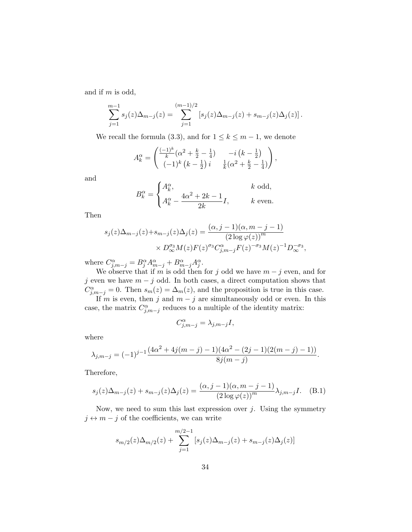and if m is odd,

$$
\sum_{j=1}^{m-1} s_j(z) \Delta_{m-j}(z) = \sum_{j=1}^{(m-1)/2} \left[ s_j(z) \Delta_{m-j}(z) + s_{m-j}(z) \Delta_j(z) \right].
$$

We recall the formula (3.3), and for  $1 \leq k \leq m-1$ , we denote

$$
A_k^{\alpha} = \begin{pmatrix} \frac{(-1)^k}{k} (\alpha^2 + \frac{k}{2} - \frac{1}{4}) & -i (k - \frac{1}{2}) \\ (-1)^k (k - \frac{1}{2}) i & \frac{1}{k} (\alpha^2 + \frac{k}{2} - \frac{1}{4}) \end{pmatrix},
$$

and

$$
B_k^{\alpha} = \begin{cases} A_k^{\alpha}, & k \text{ odd,} \\ A_k^{\alpha} - \frac{4\alpha^2 + 2k - 1}{2k}I, & k \text{ even.} \end{cases}
$$

Then

$$
s_j(z)\Delta_{m-j}(z)+s_{m-j}(z)\Delta_j(z) = \frac{(\alpha, j-1)(\alpha, m-j-1)}{(2\log \varphi(z))^m} \times D_{\infty}^{\sigma_3}M(z)F(z)^{\sigma_3}C_{j,m-j}^{\alpha}F(z)^{-\sigma_3}M(z)^{-1}D_{\infty}^{-\sigma_3},
$$

where  $C^{\alpha}_{j,m-j} = B^{\alpha}_{j} A^{\alpha}_{m-j} + B^{\alpha}_{m-j} A^{\alpha}_{j}.$ 

We observe that if m is odd then for j odd we have  $m - j$  even, and for j even we have  $m - j$  odd. In both cases, a direct computation shows that  $C_{j,m-j}^{\alpha} = 0$ . Then  $s_m(z) = \Delta_m(z)$ , and the proposition is true in this case.

If m is even, then j and  $m - j$  are simultaneously odd or even. In this case, the matrix  $C_{j,m-j}^{\alpha}$  reduces to a multiple of the identity matrix:

$$
C_{j,m-j}^{\alpha} = \lambda_{j,m-j} I,
$$

where

$$
\lambda_{j,m-j} = (-1)^{j-1} \frac{(4\alpha^2 + 4j(m-j) - 1)(4\alpha^2 - (2j-1)(2(m-j) - 1))}{8j(m-j)}.
$$

Therefore,

$$
s_j(z)\Delta_{m-j}(z) + s_{m-j}(z)\Delta_j(z) = \frac{(\alpha, j-1)(\alpha, m-j-1)}{(2\log \varphi(z))^m} \lambda_{j,m-j} I. \quad (B.1)
$$

Now, we need to sum this last expression over  $j$ . Using the symmetry  $j \leftrightarrow m - j$  of the coefficients, we can write

$$
s_{m/2}(z)\Delta_{m/2}(z) + \sum_{j=1}^{m/2-1} \left[ s_j(z)\Delta_{m-j}(z) + s_{m-j}(z)\Delta_j(z) \right]
$$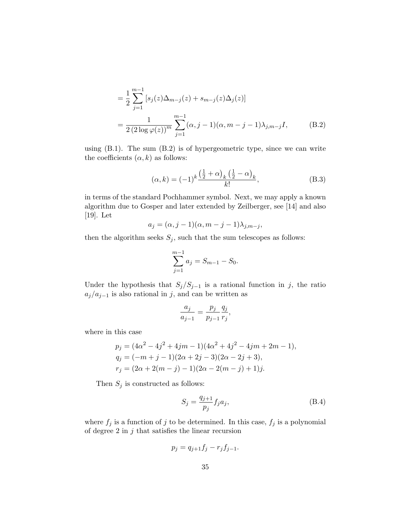$$
= \frac{1}{2} \sum_{j=1}^{m-1} [s_j(z)\Delta_{m-j}(z) + s_{m-j}(z)\Delta_j(z)]
$$
  
= 
$$
\frac{1}{2(2\log \varphi(z))^m} \sum_{j=1}^{m-1} (\alpha, j-1)(\alpha, m-j-1)\lambda_{j,m-j} I,
$$
 (B.2)

using  $(B.1)$ . The sum  $(B.2)$  is of hypergeometric type, since we can write the coefficients  $(\alpha, k)$  as follows:

$$
(\alpha, k) = (-1)^k \frac{\left(\frac{1}{2} + \alpha\right)_k \left(\frac{1}{2} - \alpha\right)_k}{k!},
$$
\n(B.3)

in terms of the standard Pochhammer symbol. Next, we may apply a known algorithm due to Gosper and later extended by Zeilberger, see [14] and also [19]. Let

$$
a_j = (\alpha, j-1)(\alpha, m-j-1)\lambda_{j,m-j},
$$

then the algorithm seeks  $S_j$ , such that the sum telescopes as follows:

$$
\sum_{j=1}^{m-1} a_j = S_{m-1} - S_0.
$$

Under the hypothesis that  $S_j/S_{j-1}$  is a rational function in j, the ratio  $a_j/a_{j-1}$  is also rational in j, and can be written as

$$
\frac{a_j}{a_{j-1}} = \frac{p_j}{p_{j-1}} \frac{q_j}{r_j},
$$

where in this case

$$
p_j = (4\alpha^2 - 4j^2 + 4jm - 1)(4\alpha^2 + 4j^2 - 4jm + 2m - 1),
$$
  
\n
$$
q_j = (-m + j - 1)(2\alpha + 2j - 3)(2\alpha - 2j + 3),
$$
  
\n
$$
r_j = (2\alpha + 2(m - j) - 1)(2\alpha - 2(m - j) + 1)j.
$$

Then  $S_j$  is constructed as follows:

$$
S_j = \frac{q_{j+1}}{p_j} f_j a_j,
$$
\n(B.4)

where  $f_j$  is a function of j to be determined. In this case,  $f_j$  is a polynomial of degree 2 in  $j$  that satisfies the linear recursion

$$
p_j = q_{j+1}f_j - r_jf_{j-1}.
$$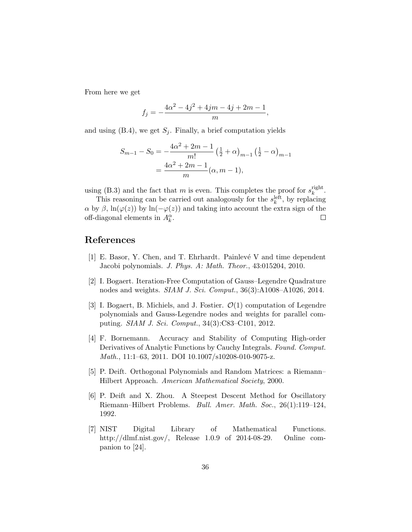From here we get

$$
f_j = -\frac{4\alpha^2 - 4j^2 + 4jm - 4j + 2m - 1}{m},
$$

and using  $(B.4)$ , we get  $S_i$ . Finally, a brief computation yields

$$
S_{m-1} - S_0 = -\frac{4\alpha^2 + 2m - 1}{m!} \left(\frac{1}{2} + \alpha\right)_{m-1} \left(\frac{1}{2} - \alpha\right)_{m-1}
$$
  
= 
$$
\frac{4\alpha^2 + 2m - 1}{m} (\alpha, m - 1),
$$

using (B.3) and the fact that m is even. This completes the proof for  $s_k^{\text{right}}$ rigni $\frac{k}{}$ .

This reasoning can be carried out analogously for the  $s_k^{\text{left}}$ , by replacing  $\alpha$  by  $\beta$ , ln( $\varphi(z)$ ) by ln( $-\varphi(z)$ ) and taking into account the extra sign of the off-diagonal elements in  $A_{\mu}^{\alpha}$ . off-diagonal elements in  $A_k^{\alpha}$ .

# References

- [1] E. Basor, Y. Chen, and T. Ehrhardt. Painlev´e V and time dependent Jacobi polynomials. J. Phys. A: Math. Theor., 43:015204, 2010.
- [2] I. Bogaert. Iteration-Free Computation of Gauss–Legendre Quadrature nodes and weights. SIAM J. Sci. Comput., 36(3):A1008–A1026, 2014.
- [3] I. Bogaert, B. Michiels, and J. Fostier.  $\mathcal{O}(1)$  computation of Legendre polynomials and Gauss-Legendre nodes and weights for parallel computing. SIAM J. Sci. Comput., 34(3):C83–C101, 2012.
- [4] F. Bornemann. Accuracy and Stability of Computing High-order Derivatives of Analytic Functions by Cauchy Integrals. Found. Comput. Math., 11:1–63, 2011. DOI 10.1007/s10208-010-9075-z.
- [5] P. Deift. Orthogonal Polynomials and Random Matrices: a Riemann– Hilbert Approach. American Mathematical Society, 2000.
- [6] P. Deift and X. Zhou. A Steepest Descent Method for Oscillatory Riemann–Hilbert Problems. Bull. Amer. Math. Soc., 26(1):119–124, 1992.
- [7] NIST Digital Library of Mathematical Functions. http://dlmf.nist.gov/, Release 1.0.9 of 2014-08-29. Online companion to [24].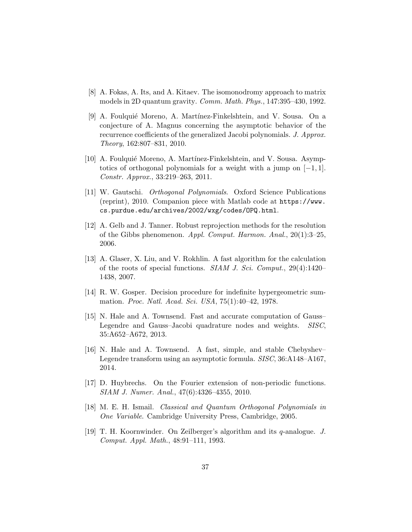- [8] A. Fokas, A. Its, and A. Kitaev. The isomonodromy approach to matrix models in 2D quantum gravity. Comm. Math. Phys., 147:395–430, 1992.
- [9] A. Foulquié Moreno, A. Martínez-Finkelshtein, and V. Sousa. On a conjecture of A. Magnus concerning the asymptotic behavior of the recurrence coefficients of the generalized Jacobi polynomials. J. Approx. Theory, 162:807–831, 2010.
- [10] A. Foulquié Moreno, A. Martínez-Finkelshtein, and V. Sousa. Asymptotics of orthogonal polynomials for a weight with a jump on [−1, 1]. Constr. Approx., 33:219–263, 2011.
- [11] W. Gautschi. *Orthogonal Polynomials*. Oxford Science Publications (reprint), 2010. Companion piece with Matlab code at https://www. cs.purdue.edu/archives/2002/wxg/codes/OPQ.html.
- [12] A. Gelb and J. Tanner. Robust reprojection methods for the resolution of the Gibbs phenomenon. Appl. Comput. Harmon. Anal., 20(1):3–25, 2006.
- [13] A. Glaser, X. Liu, and V. Rokhlin. A fast algorithm for the calculation of the roots of special functions. SIAM J. Sci. Comput., 29(4):1420– 1438, 2007.
- [14] R. W. Gosper. Decision procedure for indefinite hypergeometric summation. Proc. Natl. Acad. Sci. USA, 75(1):40–42, 1978.
- [15] N. Hale and A. Townsend. Fast and accurate computation of Gauss– Legendre and Gauss–Jacobi quadrature nodes and weights. SISC, 35:A652–A672, 2013.
- [16] N. Hale and A. Townsend. A fast, simple, and stable Chebyshev– Legendre transform using an asymptotic formula. SISC, 36:A148–A167, 2014.
- [17] D. Huybrechs. On the Fourier extension of non-periodic functions. SIAM J. Numer. Anal., 47(6):4326–4355, 2010.
- [18] M. E. H. Ismail. Classical and Quantum Orthogonal Polynomials in One Variable. Cambridge University Press, Cambridge, 2005.
- [19] T. H. Koornwinder. On Zeilberger's algorithm and its q-analogue. J. Comput. Appl. Math., 48:91–111, 1993.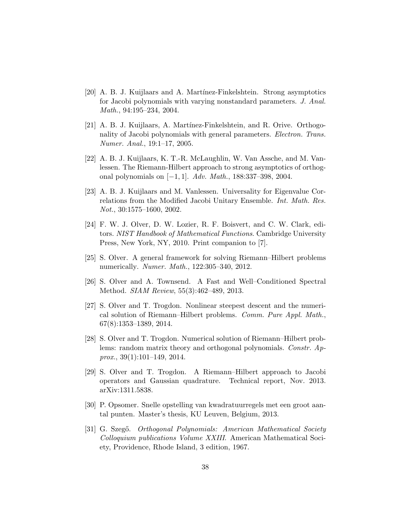- [20] A. B. J. Kuijlaars and A. Martínez-Finkelshtein. Strong asymptotics for Jacobi polynomials with varying nonstandard parameters. J. Anal. Math., 94:195–234, 2004.
- [21] A. B. J. Kuijlaars, A. Martínez-Finkelshtein, and R. Orive. Orthogonality of Jacobi polynomials with general parameters. Electron. Trans. Numer. Anal., 19:1–17, 2005.
- [22] A. B. J. Kuijlaars, K. T.-R. McLaughlin, W. Van Assche, and M. Vanlessen. The Riemann-Hilbert approach to strong asymptotics of orthogonal polynomials on [−1, 1]. Adv. Math., 188:337–398, 2004.
- [23] A. B. J. Kuijlaars and M. Vanlessen. Universality for Eigenvalue Correlations from the Modified Jacobi Unitary Ensemble. Int. Math. Res. Not., 30:1575–1600, 2002.
- [24] F. W. J. Olver, D. W. Lozier, R. F. Boisvert, and C. W. Clark, editors. NIST Handbook of Mathematical Functions. Cambridge University Press, New York, NY, 2010. Print companion to [7].
- [25] S. Olver. A general framework for solving Riemann–Hilbert problems numerically. Numer. Math., 122:305–340, 2012.
- [26] S. Olver and A. Townsend. A Fast and Well–Conditioned Spectral Method. SIAM Review, 55(3):462–489, 2013.
- [27] S. Olver and T. Trogdon. Nonlinear steepest descent and the numerical solution of Riemann–Hilbert problems. Comm. Pure Appl. Math., 67(8):1353–1389, 2014.
- [28] S. Olver and T. Trogdon. Numerical solution of Riemann–Hilbert problems: random matrix theory and orthogonal polynomials. Constr. Ap $prox., 39(1):101-149, 2014.$
- [29] S. Olver and T. Trogdon. A Riemann–Hilbert approach to Jacobi operators and Gaussian quadrature. Technical report, Nov. 2013. arXiv:1311.5838.
- [30] P. Opsomer. Snelle opstelling van kwadratuurregels met een groot aantal punten. Master's thesis, KU Leuven, Belgium, 2013.
- [31] G. Szegő. Orthogonal Polynomials: American Mathematical Society Colloquium publications Volume XXIII. American Mathematical Society, Providence, Rhode Island, 3 edition, 1967.